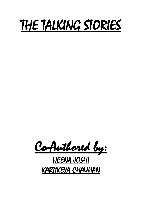# THE TALKING STORIES

Co-Authored by:

# HEENA JOSHI KARTIKEYA CHAUHAN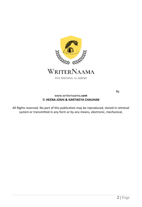

THE WRITING ACADEMY

By

#### www.writernaama**.com** © **HEENA JOSHI & KARTIKEYA CHAUHAN**

All Rights reserved. No part of this publication may be reproduced, stored in retrieval system or transmitted in any form or by any means, electronic, mechanical,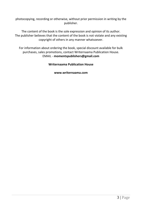photocopying, recording or otherwise, without prior permission in writing by the publisher.

The content of the book is the sole expression and opinion of its author. The publisher believes that the content of the book is not violate and any existing copyright of others in any manner whatsoever.

For information about ordering the book, special discount available for bulk purchases, sales promotions, contact Writernaama Publication House. EMAIL - **momentspublishers@gmail.com**

**Writernaama Publication House**

**www.writernaama.com**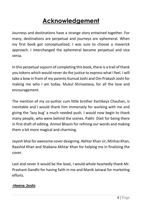# **Acknowledgement**

Journeys and destinations have a strange story entwined together. For many, destinations are perpetual and journeys are ephemeral. When my first book got conceptualized, I was sure to choose a maverick approach. I interchanged the ephemeral became perpetual and vice versa.

In this perpetual sojourn of completing this book, there is a trail of thank you tokens which would never do the justice to express what I feel. I will take a bow in front of my parents Kumud Joshi and Om Prakash Joshi for making me who I am today. Mukul Shrivastava, for all the love and encouragement.

The mention of my co-author cum little brother Kartikeya Chauhan, is inevitable and I would thank him immensely for working with me and giving the 'lazy bug' a much needed push. I would now begin to thank many people, who were behind the scenes. Pakhi Dixit for being there in first draft of editing. Anmol Bhasin for refining our words and making them a bit more magical and charming.

Jayesh bhai for awesome cover designing. Akhtar Khan sir, Minhaz Khan, Raashid Khan and Shabana Akhtar Khan for helping me in finalizing the cover.

Last and never it would be the least, I would whole heartedly thank Mr. Prashant Gandhi for having faith in me and Manik Jaiswal for marketing efforts.

## **-Heena Joshi**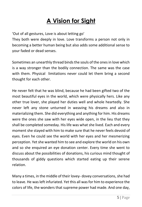# **A Vision for Sight**

'Out of all gestures, Love is about letting go'

They both were deeply in love. Love transforms a person not only in becoming a better human being but also adds some additional sense to your faded or dead senses.

Sometimes an unearthly thread binds the souls of the ones in love which is a way stronger than the bodily connection. The same was the case with them. Physical limitations never could let them bring a second thought for each other.

He never felt that he was blind, because he had been gifted two of the most beautiful eyes in the world, which were physically hers. Like any other true lover, she played her duties well and whole heartedly. She never left any stone unturned in weaving his dreams and also in materializing them. She did everything and anything for him. His dreams were the ones she saw with her eyes wide open, in the lieu that they shall be completed someday. His life was what she lived. Each and every moment she stayed with him to make sure that he never feels devoid of eyes. Even he could see the world with her eyes and her mesmerizing perception. Yet she wanted him to see and explore the world on his own and so she enquired an eye donation center. Every time she went to discuss about the possibilities of donations, his curious mind thought of thousands of giddy questions which started eating up their serene relation.

Many a times, in the middle of their lovey- dovey conversations, she had to leave. He was left infuriated. Yet this all was for him to experience the colors of life, the wonders that supreme power had made. And one day,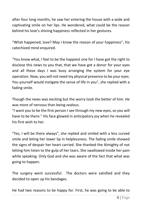after four long months, he saw her entering the house with a wide and captivating smile on her lips. He wondered, what could be the reason behind his love's shining happiness reflected in her gestures.

"What happened, love? May I know the reason of your happiness", his catechized mind enquired.

"You know what, I feel to be the happiest one for I have got the right to disclose this news to you that, that we have got a donor for your eyes and all these days I was busy arranging the system for your eye operation. Now, you will not need my physical presence to be your eyes. You yourself would instigate the sense of life in you", she replied with a fading smile.

Though the news was exciting but the worry took the better of him. He was more of nervous than being zealous.

"I want you to be the first person I see through my new eyes, so you will have to be there." His face glowed in anticipatory joy when he revealed his first wish to her.

"Yes, I will be there always", she replied and smiled with a less curved smile and biting her lower lip in helplessness. The fading smile showed the signs of despair her heart carried. She thanked the Almighty of not letting him listen to the gulp of her tears. She swallowed inside her pain while speaking. Only God and she was aware of the fact that what was going to happen.

The surgery went successful. The doctors were satisfied and they decided to open up his bandages.

He had two reasons to be happy for. First, he was going to be able to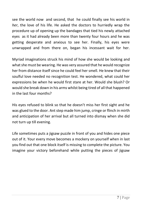see the world now and second, that he could finally see his world in *her*, the love of his life. He asked the doctors to hurriedly wrap the procedure up of opening up the bandages that tied his newly attached eyes as it had already been more than twenty four hours and he was getting desperate and anxious to see her. Finally, his eyes were unwrapped and from there on, began his incessant wait for her.

Myriad imaginations struck his mind of how she would be looking and what she must be wearing. He was very assured that he would recognize her from distance itself since he could feel her smell. He knew that their soulful love needed no recognition test. He wondered, what could her expressions be when he would first stare at her. Would she blush? Or would she break down in his arms whilst being tired of all that happened in the last four months?

His eyes refused to blink so that he doesn't miss her first sight and he was glued to the door. Ant step made him jump, cringe or flinch in mirth and anticipation of her arrival but all turned into dismay when she did not turn up till evening.

Life sometimes puts a jigsaw puzzle in front of you and hides one piece out of it. Your every move becomes a mockery on yourself when in last you find out that one block itself is missing to complete the picture. You imagine your victory beforehand while putting the pieces of jigsaw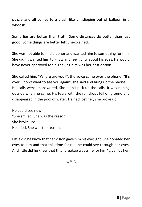puzzle and all comes to a crash like air slipping out of balloon in a whoosh.

Some lies are better than truth. Some distances do better than just good. Some things are better left unexplained.

She was not able to find a donor and wanted him to something for him. She didn't wanted him to know and feel guilty about his eyes. He would have never approved for it. Leaving him was her best option.

She called him. "Where are you?", the voice came over the phone. "It's over, I don't want to see you again", she said and hung up the phone. His calls were unanswered. She didn't pick up the calls. It was raining outside when he came. His tears with the raindrops fell on ground and disappeared in the pool of water. He had lost her, she broke up.

He could see now: "She smiled. She was the reason. She broke up: He cried. She was the reason."

Little did he know that her vision gave him his eyesight. She donated her eyes to him and that this time for real he could see through her eyes. And little did he knew that this "breakup was a life for him" given by her.

#####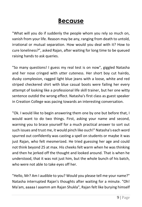## **Because**

"What will you do if suddenly the people whom you rely so much on, vanish from your life. Reason may be any, ranging from death to untold, irrational or mutual separation. How would you deal with it? How to cure loneliness?", asked Rajan, after waiting for long time to be queued raising hands to ask queries.

"So many questions! I guess my real test is on now", giggled Natasha and her nose cringed with utter cuteness. Her short boy cut hairdo, dusky complexion, ragged light blue jeans with a loose, white and red striped checkered shirt with blue casual boots were failing her every attempt of looking like a professional life skill trainer, but her one witty sentence outdid the wrong effect. Natasha's first class as guest speaker in Creation College was pacing towards an interesting conversation.

"Ok. I would like to begin answering them one by one but before that, I would want to do two things. First, asking your name and second, warning you to brace yourself for a much practical answer to sort out such issues and trust me, it would pinch like ouch!" Natasha's each word spurred out confidently was casting a spell on students or maybe it was just Rajan, who felt mesmerized. He tried guessing her age and could not think beyond 25 at max. His cheeks felt warm when he was thinking and then he jerked off the thought and looked around. That is when he understood, that it was not just him, but the whole bunch of his batch, who were not able to take eyes off her.

"Hello, Mr? Am I audible to you? Would you please tell me your name?" Natasha interrupted Rajan's thoughts after waiting for a minute. "Oh! Ma'am, aaaaa I aaamm am Rajan Shukla", Rajan felt like burying himself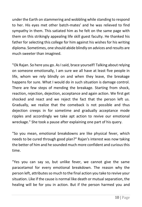under the Earth on stammering and wobbling while standing to respond to her. His eyes met other batch-mates' and he was relieved to find sympathy in them. This satiated him as he felt on the same page with them on this strikingly appealing life skill guest faculty. He thanked his father for selecting this college for him against his wishes for his writing diploma. Sometimes, one should abide blindly on advices and results are much sweeter than imagined.

"Ok Rajan. So here you go. As I said, brace yourself! Talking about relying on someone emotionally, I am sure we all have at least five people in life, whom we rely blindly on and when they leave, the breakage happens for sure. What I would do in such situation is damage control. There are few steps of mending the breakage. Starting from shock, reaction, rejection, dejection, acceptance and again action. We first get shocked and react and we reject the fact that the person left us. Gradually, we realize that the comeback is not possible and thus dejection creeps in for sometime and gradually acceptance mode ripples and accordingly we take apt action to revive our emotional wreckage." She took a pause after explaining one part of his query.

"So you mean, emotional breakdowns are like physical fever, which needs to be cured through good plan?" Rajan's interest was now taking the better of him and he sounded much more confident and curious this time.

"Yes you can say so, but unlike fever, we cannot give the same paracetamol for every emotional breakdown. The reason why the person left, attributes so much to the final action you take to revive your situation. Like if the cause is normal like death or mutual separation, the healing will be for you in action. But if the person harmed you and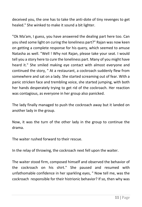deceived you, the one has to take the anti-dote of tiny revenges to get healed." She winked to make it sound a bit lighter.

"Ok Ma'am, I guess, you have answered the dealing part here too. Can you shed some light on curing the loneliness part?" Rajan was now keen on getting a complete response for his query, which seemed to amuse Natasha as well. "Well ! Why not Rajan, please take your seat. I would tell you a story here to cure the loneliness part. Many of you might have heard it." She smiled making eye contact with almost everyone and continued the story, " At a restaurant, a cockroach suddenly flew from somewhere and sat on a lady. She started screaming out of fear. With a panic stricken face and trembling voice, she started jumping, with both her hands desperately trying to get rid of the cockroach. Her reaction was contagious, as everyone in her group also panicked.

The lady finally managed to push the cockroach away but it landed on another lady in the group.

Now, it was the turn of the other lady in the group to continue the drama.

The waiter rushed forward to their rescue.

In the relay of throwing, the cockroach next fell upon the waiter.

The waiter stood firm, composed himself and observed the behavior of the cockroach on his shirt." She paused and resumed with unfathomable confidence in her sparkling eyes, " Now tell me, was the cockroach responsible for their histrionic behavior? If so, then why was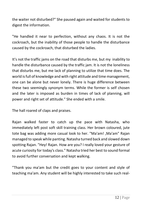the waiter not disturbed?" She paused again and waited for students to digest the information.

"He handled it near to perfection, without any chaos. It is not the cockroach, but the inability of those people to handle the disturbance caused by the cockroach, that disturbed the ladies.

It's not the traffic jams on the road that disturbs me, but my inability to handle the disturbance caused by the traffic jam. It is not the loneliness that disturbs me, but me lack of planning to utilize that time does. The world is full of knowledge and with right attitude and time management, one can be alone but never lonely. There is huge difference between these two seemingly synonym terms. While the former is self chosen and the later is imposed as burden in times of lack of planning, will power and right set of attitude." She ended with a smile.

The hall roared of claps and praises.

Rajan walked faster to catch up the pace with Natasha, who immediately left post soft skill training class. Her brown coloured, jute tote bag was adding more casual look to her. "Ma'am! ,Ma'am" Rajan managed to speak while panting. Natasha turned back and slowed down spotting Rajan. "Hey! Rajan. How are you? I really loved your gesture of acute curiosity for today's class." Natasha tried her best to sound formal to avoid further conversation and kept walking.

"Thank you ma'am but the credit goes to your content and style of teaching ma'am. Any student will be highly interested to take such real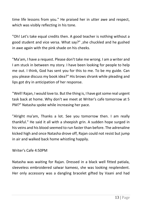time life lessons from you." He praised her in utter awe and respect, which was visibly reflecting in his tone.

"Oh! Let's take equal credits then. A good teacher is nothing without a good student and vice versa. What say?" ,she chuckled and he gushed in awe again with the pink shade on his cheeks.

"Ma'am, I have a request. Please don't take me wrong. I am a writer and I am stuck in between my story. I have been looking for people to help me out. I think, God has sent you for this to me. To be my guide. Can you please discuss my book idea?" His brows shrank while pleading and lips got dry in anticipation of her response.

"Well! Rajan, I would love to. But the thing is, I have got some real urgent task back at home. Why don't we meet at Writer's cafe tomorrow at 5 PM?" Natasha spoke while increasing her pace.

"Alright ma'am, Thanks a lot. See you tomorrow then. I am really thankful." He said it all with a sheepish grin. A sudden hope surged in his veins and his blood seemed to run faster than before. The adrenaline kicked high and once Natasha drove off, Rajan could not resist but jump in air and walked back home whistling happily.

## Writer's Cafe 4:50PM

Natasha was waiting for Rajan. Dressed in a black well fitted patiala, sleeveless embroidered salwar kameez, she was looking resplendent. Her only accessory was a dangling bracelet gifted by Vaani and had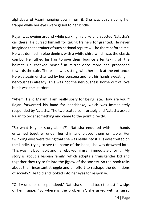alphabets of Vaani hanging down from it. She was busy sipping her frappe while her eyes were glued to her kindle.

Rajan was eyeing around while parking his bike and spotted Natasha's car there. He cursed himself for taking trainers for granted. He never imagined that a trainer of such national repute will be there before time. He was donned in blue denims with a white shirt, which was the classic combo. He ruffled his hair to give them bounce after taking off the helmet. He checked himself in mirror once more and proceeded towards the cafe. There she was sitting, with her back at the entrance. He was again enchanted by her persona and felt his hands sweating in nervousness already. This was not the nervousness borne out of love but it was the stardom.

"Ahem. Hello Ma'am. I am really sorry for being late. How are you?" Rajan forwarded his hand for handshake, which was immediately responded by Natasha. The two seated comfortably and Natasha asked Rajan to order something and came to the point directly.

"So what is your story about?", Natasha enquired with her hands entwined together under her chin and placed them on table. Her twinkling eyes were telling that she was really into it. His eyes fixated on the kindle, trying to see the name of the book, she was drowned into. This was his bad habit and he rebuked himself immediately for it. "My story is about a lesbian family, which adopts a transgender kid and together they try to fit into the jigsaw of the society. So the book talks about their incessant struggle and an effort to reshape the definitions of society." He told and looked into her eyes for response.

"Oh! A unique concept indeed." Natasha said and took the last few sips of her frappe. "So where is the problem?", she asked with a raised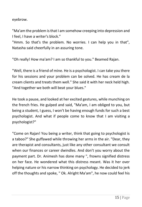eyebrow.

"Ma'am the problem is that I am somehow creeping into depression and I feel, I have a writer's block."

"Hmm. So that's the problem. No worries. I can help you in that", Natasha said cheerfully in an assuring tone.

"Oh really! How ma'am? I am so thankful to you." Beamed Rajan.

"Well, there is a friend of mine. He is a psychologist. I can take you there for his sessions and your problem can be solved. He has cream de la cream clients and treats them well." She said it with her neck held high. "And together we both will beat your blues."

He took a pause, and looked at her excited gestures, while munching on the french fries. He gulped and said, "Ma'am, I am obliged to you, but being a student, I guess, I won't be having enough funds for such a best psychologist. And what if people come to know that I am visiting a psychologist?"

"Come on Rajan! You being a writer, think that going to psychologist is a taboo?" She guffawed while throwing her arms in the air. "Dear, they are therapist and consultants, just like any other consultant we consult when our finances or career dwindles. And don't you worry about the payment part. Dr. Animesh has done many ", frowns signified distress on her face. He wondered what this distress meant. Was it her over helping nature or his narrow thinking on psychology. He decided to jerk off the thoughts and spoke, " Ok. Alright Ma'am", he now could feel his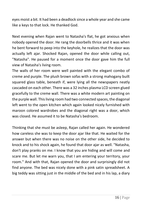eyes moist a bit. It had been a deadlock since a whole year and she came like a keys to that lock. He thanked God.

Next evening when Rajan went to Natasha's flat, he got anxious when nobody opened the door. He rang the doorbells thrice and it was when he bent forward to peep into the keyhole, he realizes that the door was actually left ajar. Shocked Rajan, opened the door while calling out, "Natasha". He paused for a moment once the door gave him the full view of Natasha's living room.

The walls of her room were well painted with the elegant combo of creme and purple. The plush brown sofas with a strong mahogany built squared glass table, beneath if, were lying all the newspapers neatly cascaded on each other. There was a 32 inches plasma LCD screen glued gracefully to the creme wall. There was a white modern art painting on the purple wall. This living room had two connected spaces, the diagonal left went to the open kitchen which again looked nicely furnished with maroon colored wardrobes and the diagonal right was a door, which was closed. He assumed it to be Natasha's bedroom.

Thinking that she must be asleep, Rajan called her again. He wondered how careless she was to keep the door ajar like that. He waited for the answer but when there was no noise on the other side, he decided to knock and to his shock again, he found that door ajar as well. "Natasha, don't play pranks on me. I know that you are hiding and will come and scare me. But let me warn you, that I am entering your territory, your room." And with that, Rajan opened the door and surprisingly did not find anyone. The bed was nicely done with a pink satin spreadsheet. A big teddy was sitting just in the middle of the bed and in his lap, a diary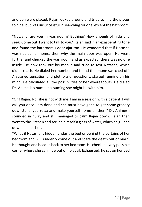and pen were placed. Rajan looked around and tried to find the places to hide, but was unsuccessful in searching for one, except the bathroom.

"Natasha, are you in washroom? Bathing? Now enough of hide and seek. Come out. I want to talk to you." Rajan said in an exasperating tone and found the bathroom's door ajar too. He wondered that if Natasha was not at her home, then why the main door was open. He went further and checked the washroom and as expected, there was no one inside. He now took out his mobile and tried to text Natasha, which didn't reach. He dialed her number and found the phone switched off. A strange sensation and plethora of questions, started running on his mind. He calculated all the possibilities of her whereabouts. He dialed Dr. Animesh's number assuming she might be with him.

"Oh! Rajan. No, she is not with me. I am in a session with a patient. I will call you once I am done and she must have gone to get some grocery downstairs, you relax and make yourself home till then." Dr. Animesh sounded in hurry and still managed to calm Rajan down. Rajan then went to the kitchen and served himself a glass of water, which he gulped down in one shot.

"What if Natasha is hidden under the bed or behind the curtains of her bedroom and will suddenly come out and scare the death out of him?" He thought and headed back to her bedroom. He checked every possible corner where she can hide but of no avail. Exhausted, he sat on her bed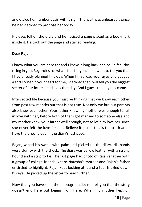and dialed her number again with a sigh. The wait was unbearable since he had decided to propose her today.

His eyes fell on the diary and he noticed a page placed as a bookmark inside it. He took out the page and started reading.

## **Dear Rajan,**

I know what you are here for and I knew it long back and could feel this rising in you. Regardless of what I feel for you, I first want to tell you that I had already planned this day. When I first read your eyes and gauged a soft corner in your heart for me, I decided that I will tell you the biggest secret of our intersected lives that day. And I guess the day has come.

Intersected life because you must be thinking that we know each other from past few months but that is not true. Not only we but our parents also knew each other. Your father knew my mother well enough to fall in love with her, before both of them got married to someone else and my mother knew your father well enough, not to let him love her since she never felt the love for him. Believe it or not this is the truth and I have the proof glued in the diary's last page.

Rajan, wiped his sweat with palm and picked up the diary. His hands were clumsy with the shock. The diary was yellow leather with a strong hound and a strip to tie. The last page had photo of Rajan's father with a group of college friends where Natasha's mother and Rajan's father encircled to highlight. Rajan kept looking at it and a tear trickled down his eye. He picked up the letter to read further.

Now that you have seen the photograph, let me tell you that the story doesn't end here but begins from here. When my mother kept on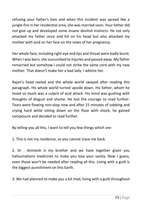refusing your father's love and when this incident was spread like a jungle-fire in her residential area, she was married soon. Your father did not give up and developed some insane devilish instincts. He not only attacked my father once and hit on his head but also attacked my mother with acid on her face on the news of her pregnancy.

Her whole face, including right eye and lips and throat were badly burnt. When I was born, she succumbed to injuries and passed away. My father remarried but somehow I could not strike the same cord with my new mother. That doesn't make her a bad lady. I admire her.

Rajan's head reeled and the whole world swayed after reading this paragraph. His whole world turned upside down. His father, whom he loved so much was a culprit of acid attack. His mind was gushing with thoughts of disgust and shame. He lost the courage to read further. Tears were flowing non-stop now and after 15 minutes of sobbing and crying hard while sitting down on the floor with shock, he gained composure and decided to read further.

By telling you all this, I want to tell you few things which are-

1. This is not my residence, so you cannot trace me back.

2. Dr . Animesh is my brother and we have together given you hallucinations medicines to make you lose your sanity. Now I guess, even those won't be needed after reading all this. Living with a guilt is the biggest punishment on this Earth.

3. We had planned to make you a bit mad, living with a guilt throughout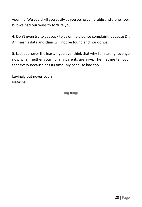your life. We could kill you easily as you being vulnerable and alone now, but we had our ways to torture you.

4. Don't even try to get back to us or file a police complaint, because Dr. Animesh's data and clinic will not be found and nor do we.

5. Last but never the least, if you ever think that why I am taking revenge now when neither your nor my parents are alive. Then let me tell you, that every Because has its time. My because had too.

Lovingly but never yours' Natasha.

#####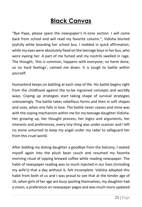## **Black Canvas**

"Bye Papa, please spare the newspaper's H-zone section. I will come back from school and will read my favorite column.", Vidisha blurted joyfully while boarding her school bus. I nodded in quick affirmation, while my eyes were absolutely fixed on the teenage boys in her bus, who were eyeing her. A part of me fumed and my nostrils swelled in rage. The thought, 'this is common, happens with everyone; no harm done, so no hard feelings', calmed me down. It is tough to battle within yourself.

Humankind keeps on battling at each step of life. His battle begins right from the childhood against the to-be ingrained concepts and worldly ways. Coping up strategies start taking shape of survival strategies unknowingly. The battle takes rebellious forms and then in soft shapes and sizes, when one falls in love. The battle never ceases and mine was with the coping mechanism within me for my teenage daughter Vidisha. Her growing up, her thought process, her logics and arguments, her interests and preferences, every tiny thing was under scanner and I left no stone unturned to keep my angel under my radar to safeguard her from this cruel world.

After bidding my doting daughter a goodbye from the balcony, I seated myself again into the plush bean couch and resumed my favorite morning ritual of sipping brewed coffee while reading newspaper. The habit of newspaper reading was so much injected in our lives (including my wife's) that a day without it, felt incomplete. Vidisha adopted this habit from both of us and I was proud to see that at the tender age of 16, when girls of her age are busy spoiling themselves, my daughter had a vision, a preference on newspaper pages and was much more updated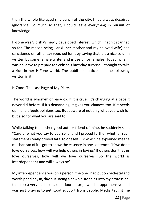than the whole like aged silly bunch of the city. I had always despised ignorance. So much so that, I could leave everything in pursuit of knowledge.

H-zone was Vidisha's newly developed interest, which I hadn't scanned so far. The reason being, Janki (her mother and my beloved wife) had sanctioned or rather say vouched for it by saying that it is a nice column written by some female writer and is useful for females. Today, when I was on leave to prepare for Vidisha's birthday surprise, I thought to take a ride in her H-Zone world. The published article had the following written in it:

H-Zone- The Last Page of My Diary.

The world is synonym of paradox. If it is cruel, it's changing at a pace it never did before. If it's demanding, it gives you chances too. If it needs opinion, it feeds opinions too. But beware of not only what you wish for but also for what you are said to.

While talking to another good author friend of mine, he suddenly said, "Careful what you say to yourself," and I probed further whether such statements really proved fatal to oneself? To which he explained me the mechanism of it. I got to know the essence in one sentence, "If we don't love ourselves, how will we help others in loving? If others don't let us love ourselves, how will we love ourselves. So the world is interdependent and will always be".

My interdependence was on a person, the one I had put on pedestal and worshipped day in, day out. Being a newbie stepping into my profession, that too a very audacious one: journalism, I was bit apprehensive and was just praying to get good support from people. Media taught me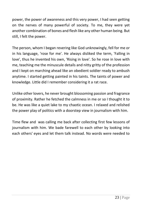power, the power of awareness and this very power, I had seen getting on the nerves of many powerful of society. To me, they were yet another combination of bones and flesh like any other human being. But still, I felt the power.

The person, whom I began revering like God unknowingly, fell for me or in his language, 'rose for me'. He always disliked the term, 'Falling in love', thus he invented his own, 'Rising in love'. So he rose in love with me, teaching me the minuscule details and nitty gritty of the profession and I kept on marching ahead like an obedient soldier ready to ambush anytime. I started getting painted in his taints. The taints of power and knowledge. Little did I remember considering it a rat race.

Unlike other lovers, he never brought blossoming passion and fragrance of proximity. Rather he fetched the calmness in me or so I thought it to be. He was like a quiet lake to my chaotic ocean. I relaxed and relished the power play of politics with a doorstep view in journalism with him.

Time flew and was calling me back after collecting first few lessons of journalism with him. We bade farewell to each other by looking into each others' eyes and let them talk instead. No words were needed to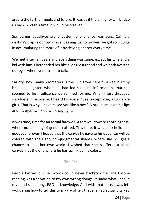assure the further meets and future. It was as if the almighty will bridge us back. And this time, it would be forever.

Sometimes goodbyes are a better hello and so was ours. Call it a destiny's trap or our own never ceasing lust for power, we got so indulge in accumulating the more of it by delving deeper every time.

We met after ten years and everything was same, except his wife and a kid with him. I befriended her like a long lost friend and we both averted our eyes whenever it tried to talk.

"Aunty, how many kilometers is the Sun from here?", asked his tiny brilliant daughter, whom he had fed so much information, that she seemed to be intelligence personified for me. When I just shrugged shoulders in response, I heard his voice, "See, except you, all girls are girls. That is why, I have raised you like a boy." A proud smile on his lips and his eyes twinkled while saying it.

It was time, time for an actual farewell. A farewell towards nothingness, where no labelling of gender existed. This time, it was a no hello and goodbye forever. I hoped that the canvas he gave to his daughter will be colored with the right, non-judgmental shades, where she will get a chance to label her own world. I wished that she is offered a blank canvas, not the one where he has sprinkled his colors.

## The End

People betray, but her words could never backstab me. The H-zone reading was a salvation to my own wrong doings. It undid what I had in my mind since long. EGO of knowledge. And with that note, I was left wondering how to tell this to my daughter, that she had actually talked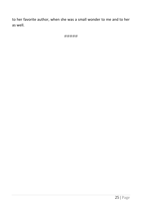to her favorite author, when she was a small wonder to me and to her as well.

#####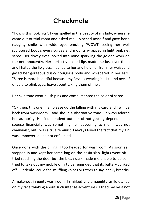# **Checkmate**

"How is this looking?", I was spelled in the beauty of my lady, when she came out of trial room and asked me. I pinched myself and gave her a naughty smile with wide eyes emoting 'WOW!' seeing her well sculptured body's every curves and mounts wrapped in light pink net saree. Her dovey eyes looked into mine sparkling the golden work on the net innocently. Her perfectly arched lips made me lust over them and I hated the lip gloss. I leaned to her and held her from her waist and gazed her gorgeous dusky hourglass body and whispered in her ears, "Saree is more beautiful because my Reva is wearing it." I found myself unable to blink eyes, leave about taking them off her.

Her skin tone went blush pink and complimented the color of saree.

"Ok then, this one final, please do the billing with my card and I will be back from washroom", said she in authoritative tone. I always adored her authority. Her independent outlook of not getting dependent on spouse financially was something hell appealing to me. I was not chauvinist, but I was a true feminist. I always loved the fact that my girl was empowered and not enfeebled.

Once done with the billing, I too headed for washroom. As soon as I stepped in and kept her saree bag on the basin slab, lights went off. I tried reaching the door but the bleak dark made me unable to do so. I tried to take out my mobile only to be reminded that its battery conked off. Suddenly I could feel muffling voices or rather to say, heavy breaths.

A make-out in gents washroom, I smirked and a naughty smile etched on my face thinking about such intense adventures. I tried my best not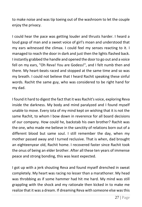to make noise and was tip toeing out of the washroom to let the couple enjoy the privacy.

I could hear the pace was getting louder and thrusts harder. I heard a loud gasp of man and a sweet voice of girl's moan and understood that my ears witnessed the climax. I could feel my senses reacting to it. I managed to reach the door in dark and just then the lights flashed back. I instantly grabbed the handle and opened the door to go out and a voice fell on my ears, "Oh Reva! You are Godess!", and I felt numb then and there. My heart-beats raced and stopped at the same time and so was my breath. I could not believe that I heard Rachit speaking these sinful words. Rachit the same guy, who was considered to be right hand for my dad.

I found it hard to digest the fact that it was Rachit's voice, exploring Reva inside the darkness. My body and mind paralyzed and I found myself unable to move. Every iota of my mind kept on wishing that it is not the same Rachit, to whom I bow down in reverence for all board decisions of our company. How could he, backstab his own brother? Rachit was the one, who made me believe in the sanctity of relations born out of a different blood but same soul. I still remember the day, when my mother passed away and I turned reclusive. That is when, dad brought an eighteenyear old, Rachit home. I recovered faster since Rachit took the onus of being an elder brother. After all these ten years of immense peace and strong bonding, this was least expected.

I got up with a jerk shouting Reva and found myself drenched in sweat completely. My heart was racing no lesser than a marathoner. My head was throbbing as if some hammer had hit me hard. My mind was still grappling with the shock and my rationale then kicked in to make me realize that it was a dream. If dreaming Reva with someone else was this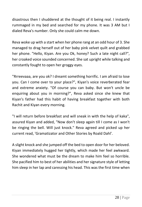disastrous then I shuddered at the thought of it being real. I instantly rummaged in my bed and searched for my phone. It was 3 AM but I dialed Reva's number. Only she could calm me down.

Reva woke up with a start when her phone rang at an odd hour of 3. She managed to drag herself out of her baby pink velvet quilt and grabbed her phone. "Hello, Kiyan. Are you Ok, honey? Such a late night call?", her croaked voice sounded concerned. She sat upright while talking and constantly fought to open her groggy eyes.

"Rrreevaaa, are you ok? I dreamt something horrific. I am afraid to lose you. Can I come over to your place?", Kiyan's voice reverberated fear and extreme anxiety. "Of course you can baby. But won't uncle be enquiring about you in morning?", Reva asked since she knew that Kiyan's father had this habit of having breakfast together with both Rachit and Kiyan every morning.

"I will return before breakfast and will sneak in with the help of kaka", assured Kiyan and added, "Now don't sleep again till I come as I won't be ringing the bell. Will just knock." Reva agreed and picked up her current read, 'Gramatizator and Other Stories by Roald Dahl'.

A slight knock and she jumped off the bed to open door for her beloved. Kiyan immediately hugged her tightly, which made her feel awkward. She wondered what must be the dream to make him feel so horrible. She pacified him to best of her abilities and her signature style of letting him sleep in her lap and caressing his head. This was the first time when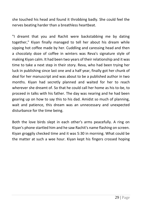she touched his head and found it throbbing badly. She could feel the nerves beating harder than a breathless heartbeat.

"I dreamt that you and Rachit were backstabbing me by dating together," Kiyan finally managed to tell her about his dream while sipping hot coffee made by her. Cuddling and caressing head and then a chocolaty doze of coffee in winters was Reva's signature style of making Kiyan calm. It had been two years of their relationship and it was time to take a next step in their story. Reva, who had been trying her luck in publishing since last one and a half year, finally got her chunk of deal for her manuscript and was about to be a published author in two months. Kiyan had secretly planned and waited for her to reach wherever she dreamt of. So that he could call her home as his to-be, to proceed in talks with his father. The day was nearing and he had been gearing up on how to say this to his dad. Amidst so much of planning, wait and patience, this dream was an unnecessary and unexpected disturbance for the time being.

Both the love birds slept in each other's arms peacefully. A ring on Kiyan's phone startled him and he saw Rachit's name flashing on screen. Kiyan groggily checked time and it was 5:30 in morning. What could be the matter at such a wee hour. Kiyan kept his fingers crossed hoping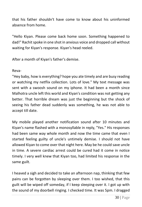that his father shouldn't have come to know about his uninformed absence from home.

"Hello Kiyan. Please come back home soon. Something happened to dad!" Rachit spoke in one shot in anxious voice and dropped call without waiting for Kiyan's response. Kiyan's head reeled.

After a month of Kiyan's father's demise.

Reva-

"Hey baby, how is everything? hope you ate timely and are busy reading or watching my netflix collection. Lots of love." My text message was sent with a swoosh sound on my iphone. It had been a month since Malhotra uncle left this world and Kiyan's condition was not getting any better. That horrible dream was just the beginning but the shock of seeing his father dead suddenly was something, he was not able to accept till date.

My mobile played another notification sound after 10 minutes and Kiyan's name flashed with a monosyllable in reply, "Yes." His responses had been same way whole month and now the time came that even I started feeling guilty of uncle's untimely demise. I should not have allowed Kiyan to come over that night here. May be he could save uncle in time. A severe cardiac arrest could be cured had it come in notice timely. I very well knew that Kiyan too, had limited his response in the same guilt.

I heaved a sigh and decided to take an afternoon nap, thinking that few pains can be forgotten by sleeping over them. I too wished, that this guilt will be wiped off someday, if I keep sleeping over it. I got up with the sound of my doorbell ringing. I checked time. It was 5pm. I dragged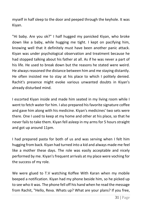myself in half sleep to the door and peeped through the keyhole. It was Kiyan.

"Hi baby. Are you ok?" I half hugged my panicked Kiyan, who broke down like a baby, while hugging me tight. I kept on pacifying him, knowing well that it definitely must have been another panic attack. Kiyan was under psychological observation and treatment because he had stopped talking about his father at all. As if he was never a part of his life. He used to break down but the reasons he stated were weird. He always reasoned the distance between him and me staying distantly. He often insisted me to stay at his place to which I politely denied. Rachit's presence might evoke various unwanted doubts in Kiyan's already disturbed mind.

I escorted Kiyan inside and made him seated in my living room while I went to fetch water for him. I also prepared his favorite signature coffee and gave him along with his medicine. Kiyan's medicines' two sets were there. One I used to keep at my home and other at his place, so that he never fails to take them. Kiyan fell asleep in my arms for 5 hours straight and got up around 11pm.

I had prepared pasta for both of us and was serving when I felt him hugging from back. Kiyan had turned into a kid and always made me feel like a mother these days. The role was easily acceptable and nicely performed by me. Kiyan's frequent arrivals at my place were voching for the success of my role.

We were glued to T.V watching Koffee With Karan when my mobile beeped a notification. Kiyan had my phone beside him, so he picked up to see who it was. The phone fell off his hand when he read the message from Rachit, "Hello, Reva. Whats up? What are your plans? If you free,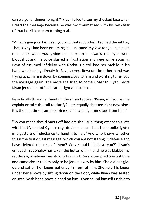can we go for dinner tonight?" Kiyan failed to see my shocked face when I read the message because he was too traumatized with his own fear of that horrible dream turning real.

"What is going on between you and that scoundrel? I so had the inkling. That is why I had been dreaming it all. Because my love for you had been real. Look what you giving me in return!" Kiyan's red eyes were bloodshot and his voice slurred in frustration and rage while accusing Reva of assumed infidelity with Rachit. He still had her mobile in his hand was looking directly in Reva's eyes. Reva on the other hand was trying to calm him down by coming close to him and wanting to re-read the message again. The more she tried to come closer to Kiyan, more Kiyan jerked her off and sat upright at distance.

Reva finally threw her hands in the air and spoke, "Kiyan, will you let me explain or take the call to clarify? I am equally shocked right now since it is the first time, I am receiving such a late night message from him."

"So you mean that dinners off late are the usual thing except this late with him?", snarled Kiyan in rage doubled up and held her mobile tighter in a gesture of reluctance to hand it to her. "And who knows whether this is the first or last message, which you are not stating in defense and have deleted the rest of them? Why should I believe you?" Kiyan's enraged irrationality has taken the better of him and he was blabbering recklessly, whatever was striking his mind. Reva attempted one last time and came closer to him only to be jerked away by him. She did not give up and sat on her knees patiently in front of him. She held his knees under her elbows by sitting down on the floor, while Kiyan was seated on sofa. With her elbows pinned on him, Kiyan found himself unable to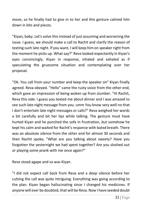move, so he finally had to give in to her and this gesture calmed him down in bits and pieces.

"Kiyan, baby. Let's solve this instead of just assuming and worsening the issue. I guess, we should make a call to Rachit and clarify the reason of texting such late night. If you want, I will keep him on speaker right from the moment he picks up. What say?" Reva looked expectantly in Kiyan's eyes convincingly. Kiyan in response, inhaled and exhaled as if speculating the gruesome situation and contemplating over her proposal.

"Ok. You call from your number and keep the speaker on" Kiyan finally agreed. Reva obeyed. "Hello" came the rusty voice from the other end, which gave an impression of being woken up from slumber. "Hi Rachit, Reva this side. I guess you texted me about dinner and I was amazed to see such late night message from you. umm You know very well no that I don't entertain late night messages or calls?" Reva weighed her words a bit carefully and bit her lips while talking. The gesture must have hurted Kiyan and he punched the sofa in frustration, but somehow he kept his calm and waited for Rachit's response with bated breath. There was an absolute silence from the other end for almost 30 seconds and then Rachit spoke, "What are you talking about sweety? Have you forgotten the yesternight we had spent together? Are you sloshed out or playing some prank with me once again?"

Reva stood agape and so was Kiyan.

"I did not expect call back from Reva and a deep silence before her cutting the call was quite intriguing. Everything was going according to the plan. Kiyan began hallucinating since I changed his medicines. If anyone will ever be doubted, that will be Reva. Now I have seeded doubt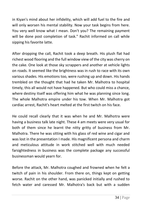in Kiyan's mind about her infidelity, which will add fuel to the fire and will only worsen his mental stability. Now your task begins from here. You very well know what I mean. Don't you? The remaining payment will be done post completion of task." Rachit informed on call while sipping his favorite latte.

After dropping the call, Rachit took a deep breath. His plush flat had richest wood flooring and the full window view of the city was cherry on the cake. One look at those sky scrappers and another at vehicle lights on roads. It seemed like the brightness was in rush to race with its own various shades. His emotions too, were rushing up and down. His hands trembled on the thought that had he taken Mr. Malhotra to hospital timely, this all would not have happened. But who could miss a chance, where destiny itself was offering him what he was planning since long. The whole Malhotra empire under his tow. When Mr. Malhotra got cardiac arrest, Rachit's heart melted at the first twitch on his face.

He could recall clearly that it was when he and Mr. Malhotra were having a business talk late night. These 4 am meets were very usual for both of them since he learnt the nitty gritty of business from Mr. Malhotra. There he was sitting with his glass of red wine and cigar and was lost in the presentation I made. His magnificent persona and charm and meticulous attitude in work stitched well with much needed farsightedness in business was the complete package any successful businessman would yearn for.

Before the attack, Mr. Malhotra coughed and frowned when he felt a twitch of pain in his shoulder. From there on, things kept on getting worse. Rachit on the other hand, was panicked initially and rushed to fetch water and caressed Mr. Malhotra's back but with a sudden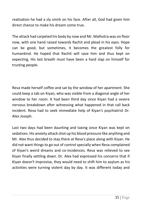realization he had a sly smirk on his face. After all, God had given him direct chance to make his dream come true.

The attack had carpeted his body by now and Mr. Malhotra was on floor now, with one hand raised towards Rachit and plead in his eyes. Hope can be good, but sometimes, it becomes the greatest folly for humankind. He hoped that Rachit will save him and thus kept on expecting. His last breath must have been a hard slap on himself for trusting people.

Reva made herself coffee and sat by the window of her apartment. She could keep a tab on Kiyan, who was visible from a diagonal angle of her window to her room. It had been third day since Kiyan had a severe nervous breakdown after witnessing what happened in that call back incident. Reva had to seek immediate help of Kiyan's psychiatrist Dr. Alex Joseph.

Last two days had been daunting and taxing since Kiyan was kept on sedatives. His anxiety attack shot up his blood pressure like anything and Mr. Alex thus decided to stay there at Reva's place along with Kiyan. He did not want things to go out of control specially when Reva complained of Kiyan's weird dreams and co-incidences. Reva was relieved to see Kiyan finally settling down. Dr. Alex had expressed his concerns that if Kiyan doesn't improvise, they would need to shift him to asylum as his activities were turning violent day by day. It was different today and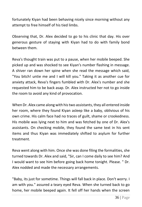fortunately Kiyan had been behaving nicely since morning without any attempt to free himself of his tied limbs.

Observing that, Dr. Alex decided to go to his clinic that day. His over generous gesture of staying with Kiyan had to do with family bond between them.

Reva's thought train was put to a pause, when her mobile beeped. She picked up and was shocked to see Kiyan's number flashing in message. A shiver ran down her spine when she read the message which said, "You bitch! untie me and I will kill you." Taking it as another cue for anxiety attack, Reva's fingers fumbled with Dr. Alex's number and she requested him to be back asap. Dr. Alex instructed her not to go inside the room to avoid any kind of provocation.

When Dr. Alex came along with his two assistants, they all entered inside her room, where they found Kiyan asleep like a baby, oblivious of his own crime. His calm face had no traces of guilt, shame or crookedness. His mobile was lying next to him and was fetched by one of Dr. Alex's assistants. On checking mobile, they found the same text in his sent items and thus Kiyan was immediately shifted to asylum for further treatment.

Reva went along with him. Once she was done filing the formalities, she turned towards Dr. Alex and said, "Sir, can I come daily to see him? And I would want to see him before going back home tonight. Please. " Dr. Alex nodded and made the necessary arrangements.

"Baby, its just for sometime. Things will fall back in place. Don't worry. I am with you." assured a teary eyed Reva. When she turned back to go home, her mobile beeped again. It fell off her hands when the screen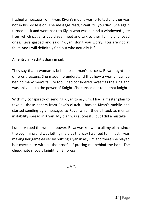flashed a message from Kiyan. Kiyan's mobile was forfeited and thus was not in his possession. The message read, "Wait, till you die". She again turned back and went back to Kiyan who was behind a windowed-gate from which patients could see, meet and talk to their family and loved ones. Reva gasped and said, "Kiyan, don't you worry. You are not at fault. And I will definitely find out who actually is."

An entry in Rachit's diary in jail.

They say that a woman is behind each man's success. Reva taught me different lessons. She made me understand that how a woman can be behind many men's failure too. I had considered myself as the King and was oblivious to the power of Knight. She turned out to be that knight.

With my conspiracy of sending Kiyan to asylum, I had a master plan to take all those papers from Reva's clutch. I hacked Kiyan's mobile and started sending ugly messages to Reva, which they all took as mental instability spread in Kiyan. My plan was successful but I did a mistake.

I undervalued the woman power. Reva was known to all my plans since the beginning and was letting me play the way I wanted to. In fact, I was making her game easier by putting Kiyan in asylum and there she played her checkmate with all the proofs of putting me behind the bars. The checkmate made a knight, an Empress.

#####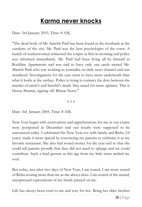### **Karma never knocks**

Date: 3rd January 2015, Time: 8 AM,

"The dead body of Mr. Sanchit Patil has been found at the riverbank at the outskirts of the city. Mr. Patil was the best psychologist of the town. A bunch of washerwomen witnessed the corpse at first in morning and police was informed immediately. Mr. Patil had been living all by himself in Rockline Apartments and was said to have only one uncle named Mr. Manish Patil who was working as journalist on daily news channel and was murdered. Investigations for the case seem to have more underneath than what it looks at the surface. Police is trying to connect the dots between the murder of uncle's and Sanchit's death. Stay tuned for more updates. This is Heena Sharma, signing off. Bharat News."

#### π π π

Date: 3rd January 2005, Time: 8 AM.

New Year began with reservations and apprehensions for me as our exams were postponed in December and our results were supposed to be announced today. I celebrated the New Year eve with family and Risha (14 years) made it more special by convincing my parents to celebrate it as my favorite restaurant. She also had stored money for the year end so that she could tell parents proudly that they did not need to splurge and we could contribute. Such a kind gesture at this age from my little sister melted my soul.

But today, just after two days of New Year, I am scared. I am more scared of Risha scoring more than me as she always does. I am scared of the unsaid, unexpressed expectations of my family pinned on me.

Life has always been cruel to me and rosy for her. Being her elder brother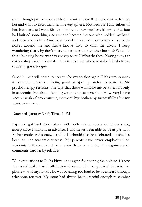(even though just two years elder), I want to have that authoritative feel on her and want to excel than her in every sphere. Not because I am jealous of her, but because I want Risha to look up to her brother with pride. But fate had knitted something else and she became the one who holded my hand and took me to bus. Since childhood I have been especially sensitive to noises around me and Risha knows how to calm me down. I keep wondering that why don't these noises talk to any other but me? What do these honking horns want to convey to me? What do these blaring songs at corner shops want to speak? It seems like the whole world of decibels has suddenly got a tongue.

Sanchit uncle will come tomorrow for my session again. Risha pronounces it correctly whereas I being good at spelling prefer to write it: My psychotherapy sessions. She says that these will make me beat her not only in academics but also in battling with my noise-sensation. However; I have a secret wish of pronouncing the word Psychotherapy successfully after my sessions are over.

Date: 3rd January 2005, Time: 5 PM

Papa has got back from office with both of our results and I am acting asleep since I know it in advance. I had never been able to be at par with Risha's marks and somewhere I feel I should also be celebrated like she has been on her academic success. My parents have never emphasized on academic brilliance but I have seen them countering the arguments or comments thrown by relatives.

"Congratulations to Risha bitiya once again for scoring the highest. I knew she would make it so I called up without even thinking twice" the voice on phone was of my mausi who was beaming too loud to be overheard through telephone receiver. My mom had always been graceful enough to combat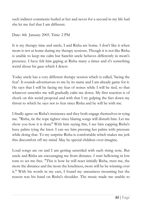such indirect comments hurled at her and never for a second in my life had she let me feel that I am different.

#### Date: 4th January 2005. Time: 2 PM

It is my therapy time and uncle, I and Risha are home. I don't like it when mom is not at home during my therapy sessions. Though it is not like Risha is unable to keep me calm but Sanchit uncle behaves differently in mom's presence. I have felt him gaping at Risha many a times and it's something weird about his gaze which I detest.

Today uncle has a very different therapy session which is called, 'facing the fear'. It sounds adventurous to me by its name and I am already game for it. He says that I will be facing my fear of noises while I will be tied, so that whatever unsettles me will gradually calm me down. My first reaction is of shock on this weird proposal and with that I try gulping the fact down my throat to which he says not to fear since Risha and he will be with me.

I finally agree on Risha's insistence and they both engage themselves in tying me. "Risha, tie the rope tighter since blaring songs will disturb him. Let me show you how it is done" With him saying this, I see him cupping Risha's busy palms tying the knot. I can see him pressing her palms with pressure while doing that. To my surprise Risha is comfortable which makes me jerk this discomfort off my mind. May be special children over-imagine.

Loud songs are on and I am getting unsettled with each rising note. But uncle and Risha are encouraging me from distance. I start bellowing in low tone to set me free. "This is how he will react initially Risha, trust me, the more the distance and the more the loneliness, more will he be winning over it." With his words in my ears, I found my uneasiness mounting but the reason was his hand on Risha's shoulder. The music made me unable to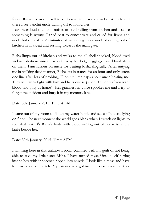focus. Risha excuses herself to kitchen to fetch some snacks for uncle and there I see Sanchit uncle trailing off to follow her.

I can hear loud thud and noises of stuff falling from kitchen and I sense something is wrong. I tried best to concentrate and called for Risha and uncle but only after 25 minutes of wallowing I saw uncle shooting out of kitchen in all sweat and rushing towards the main gate.

Risha limps out of kitchen and walks to me all shell-shocked, blood-eyed and in robotic-manner. I wonder why her beige leggings have blood stain on them. I am furious on uncle for beating Risha illogically. After untying me in walking dead manner, Risha sits in trance for an hour and only utters one line after lots of probing, "Don't tell ma papa about uncle beating me. They will try to fight with him and he is our sarpanch. Tell only if you want blood and gory at home". Her grimness in voice spookes me and I try to forget the incident and bury it in my memory lane.

Date: 5th January 2015. Time: 4 AM

I came out of my room to fill up my water bottle and see a silhouette lying on floor. The next moment the world goes blank when I switch on lights to see what is it. It's Risha's body with blood oozing out of her wrist and a knife beside her.

Date: 30th January. 2015. Time: 2 PM

I am lying here in this unknown room confined with my guilt of not being able to save my little sister Risha. I have turned myself into a self-hitting insane boy with innocence ripped into shreds. I look like a mess and have lost my voice completely. My parents have got me in this asylum where they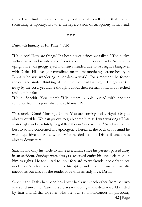think I will find remedy to insanity, but I want to tell them that it's not something temporary, its rather the repercussion of cacophony in my head.

π π π

Date: 4th January 2010. Time: 9 AM

"Hello son! How are things? It's been a week since we talked." The husky, authoritative and manly voice from the other end on call woke Sanchit up upright. He was groggy eyed and heavy headed due to last night's hangover with Disha. His eyes got transfixed on the mesmerizing, serene beauty in Disha, who was wandering in her dream world. For a moment, he forgot the call and smiled thinking of the time they had last night. He got carried away by the cosy, yet divine thoughts about their eternal bond and it etched smile on his face.

"Hello, Sanchit. You there? "His dream bubble busted with another sentence from his journalist uncle, Manish Patil.

"Yes uncle, Good Morning. Umm. You are coming today right? Or you already outside? We can go out to grab some bite as I was working till late yesternight and absolutely forgot that it's our Sunday time." Sanchit tried his best to sound concerned and apologetic whereas at the back of his mind he was inquisitive to know whether he needed to hide Disha if uncle was already downstairs.

Sanchit had only his uncle to name as a family since his parents passed away in an accident. Sundays were always a reserved entity his uncle claimed on him as rights. He too, used to look forward to weekends, not only to see uncle on Sundays and listen to his spicy and adventurous journalistic anecdotes but also for the rendezvous with his lady love, Disha.

Sanchit and Disha had been head over heels with each other from last two years and since then Sanchit is always wandering in the dream world knitted by him and Disha together. His life was so monotonous in practicing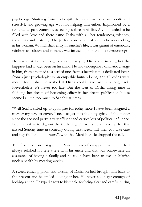psychology. Shuttling from his hospital to home had been so robotic and stressful, and growing age was not helping him either. Imprisoned by a tumultuous past, Sanchit was seeking solace in his life. A void needed to be filled with love and there came Disha with all her tenderness, wisdom, tranquility and maturity. The perfect concoction of virtues he was seeking in his woman. With Disha's entry in Sanchit's life, it was gamut of emotions, rainbow of colours and vibrancy was infused in him and his surroundings.

He was clear in his thoughts about marrying Disha and making her the happiest had always been on his mind. He had undergone a dramatic change in him, from a nomad to a settled one, from a heartless to a dedicated lover, from a just psychologist to an empathic human being, and all kudos were meant for Disha. He wished if Disha could have met him long back. Nevertheless, it's never too late. But the wait of Disha taking time in fulfilling her dream of becoming editor in her dream publication house seemed a little too much to Sanchit at times.

"Well Son! I called up to apologize for today since I have been assigned a murder mystery to cover. I need to get into the nitty gritty of the matter since the accused party is very affluent and carries lots of political influence. But my task is to dig out the truth. Right! I will surely make up for this missed Sunday time in someday during next week. Till then you take care and stay fit. I am in bit hurry", with that Manish uncle dropped the call.

The first reaction instigated in Sanchit was of disappointment. He had always relished his tete-a-tete with his uncle and this was somewhere an assurance of having a family and he could have kept an eye on Manish uncle's health by meeting weekly.

A sweet, enticing groan and tossing of Disha on bed brought him back to the present and he smiled looking at her. He never could get enough of looking at her. He typed a text to his uncle for being alert and careful during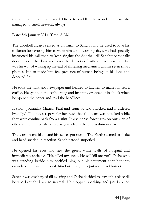the stint and then embraced Disha to cuddle. He wondered how she managed to smell heavenly always.

Date: 5th January 2014. Time: 8 AM

The doorbell always served as an alarm to Sanchit and he used to love his milkman for favoring him to wake him up on working days. He had specially instructed his milkman to keep ringing the doorbell till Sanchit personally doesn't open the door and takes the delivery of milk and newspaper. This was his way of waking up instead of shrieking mechanical alarms set in smart phones. It also made him feel presence of human beings in his lone and deserted flat.

He took the milk and newspaper and headed to kitchen to make himself a coffee. He grabbed the coffee mug and instantly dropped it in shock when he opened the paper and read the headlines.

It said, "Journalist Manish Patil and team of two attacked and murdered brutally." The news report further read that the team was attacked while they were coming back from a stint. It was dense forest area on outskirts of city and the immediate help was given from the city asylum nearby.

The world went blank and his senses got numb. The Earth seemed to shake and head swirled in reaction. Sanchit stood stupefied.

He opened his eyes and saw the green white walls of hospital and immediately shrieked. "He killed my uncle. He will kill me too". Disha who was standing beside him pacified him, but his statement sent her into quandary. She wanted to ask him but thought to put it on backburner.

Sanchit was discharged till evening and Disha decided to stay at his place till he was brought back to normal. He stopped speaking and just kept on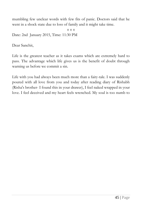mumbling few unclear words with few fits of panic. Doctors said that he went in a shock state due to loss of family and it might take time.

π π π Date: 2nd January 2015, Time: 11:30 PM

Dear Sanchit,

Life is the greatest teacher as it takes exams which are extremely hard to pass. The advantage which life gives us is the benefit of doubt through warning us before we commit a sin.

Life with you had always been much more than a fairy-tale. I was suddenly poured with all love from you and today after reading diary of Rishabh (Risha's brother- I found this in your drawer), I feel naked wrapped in your love. I feel deceived and my heart feels wrenched. My soul is too numb to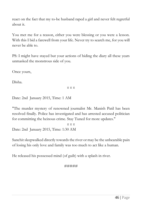react on the fact that my to-be husband raped a girl and never felt regretful about it.

You met me for a reason, either you were blessing or you were a lesson. With this I bid a farewell from your life. Never try to search me, for you will never be able to.

PS: I might have stayed but your actions of hiding the diary all these years unmasked the monstrous side of you.

Once yours,

Disha.

#### π π π

Date: 2nd January 2015, Time: 1 AM

"The murder mystery of renowned journalist Mr. Manish Patil has been resolved finally. Police has investigated and has arrested accused politician for committing the heinous crime. Stay Tuned for more updates."

π π π Date: 2nd January 2015, Time: 1:30 AM

Sanchit sleepwalked directly towards the river or may be the unbearable pain of losing his only love and family was too much to act like a human.

He released his possessed mind (of guilt) with a splash in river.

#### #####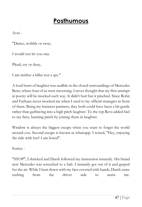## **Posthumous**

Avni -

"Dance, wobble or sway,

I would not let you stay.

Plead, cry or deny,

I am neither a killer nor a spy."

A loud burst of laughter was audible in the closed surroundings of Mercedes Benz, where four of us were traversing. I never thought that my first attempt at poetry will be mocked such way. It didn't hurt but it pinched. Since Rohit and Farhaan never mocked me when I used to lay official strategies in front of them. Being my business partners, they both could have been a bit gentle rather than guffawing into a high pitch laughter. To the top Reva added fuel to my fiery, burning pinch by joining them in laughter.

Window is always the biggest escape when you want to forget the world around you. Second escape is known as whatsapp. I texted, "Hey, enjoying the ride with her? I am bored".

Soniya -

"STOP", I shrieked and Darsh followed my instruction instantly. His brand new Mercedes was screeched to a halt. I instantly got out of it and gasped for the air. While I bent down with my face covered with hands, Darsh came rushing from the driver side to assist me.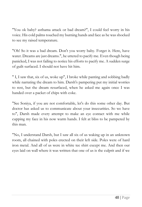"You ok baby? asthama attack or bad dream?", I could feel worry in his voice. His cold palms touched my burning hands and face as he was shocked to see my raised temperature.

"Oh! So it was a bad dream. Don't you worry baby. Forget it. Here, have water. Dreams are just dreams.", he uttered to pacify me. Even though being panicked, I was not failing to notice his efforts to pacify me. A sudden surge of guilt surfaced. I should not have hit him.

" I, I saw that, six of us, woke up", I broke while panting and sobbing badly while narrating the dream to him. Darsh's pampering put my initial worries to rest, but the dream resurfaced, when he asked me again once I was handed over a packet of chips with coke.

"See Soniya, if you are not comfortable, let's do this some other day. But doctor has asked us to communicate about your insecurities. So we have to", Darsh made every attempt to make an eye contact with me while cupping my face in his now warm hands. I felt at bliss to be pampered by this man.

"No, I understand Darsh, but I saw all six of us waking up in an unknown room, all chained with poles erected on their left side. Poles were of hard iron metal. And all of us were in white tee shirt except me. And then our eyes laid on wall where it was written that one of us is the culprit and if we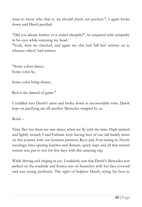want to know who that is, we should check our pockets.", I again broke down and Darsh pacified.

"Did you dream further or it ended abruptly?", he enquired with sympathy in his eyes while caressing my head.

"Yeah, then we checked, and again my chit had 'kill her' written on it, whereas others' had written:

"Some colors dance, Some color lie,

Some color bring shame,

Red is the damsel of game."

I cuddled into Darsh's arms and broke down in inconsolable sobs. Darsh kept on pacifying me till another Mercedes stopped by us.

Rohit –

Time flies but there are rare times, when we fly with the time. High spirited and lightly stoned, I and Farhaan were having best of our old buddy times on this journey with our business partners, Reva and Avni tuning in. Hectic meetings, time-sparing lunches and dinners, quick naps and all that mental torture was put to rest for few days with this amazing trip.

While driving and singing in joy, I suddenly saw that Darsh's Mercedes was parked on the roadside and Soniya was on haunches with her face covered and was crying profusely. The sight of helpless Darsh, trying his best to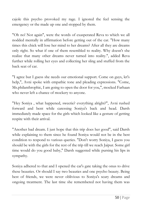cajole this psycho provoked my rage. I ignored the feel sensing the emergency or the made up one and stopped by them.

"Oh no! Not again", were the words of exasperated Reva to which we all nodded mentally in affirmation before getting out of the car. "How many times this chick will lose her mind to her dreams? After all they are dreams only right. So what if one of them resembled to reality. Why doesn't she realize that many other dreams never turned into reality.", added Reva further while rolling her eyes and collecting her sling and stuffed from the back seat of car.

"I agree but I guess she needs our emotional support. Come on guys, let's help,", Avni spoke with empathic tone and pleading expressions. "Come, Ms.philanthrophic, I am going to open the door for you,", mocked Farhaan who never left a chance of mockery to anyone.

"Hey Soniya , what happened, sweetie? everything alright?", Avni rushed forward and bent while caressing Soniya's back and head. Darsh immediately made space for the girls which looked like a gesture of getting respite with their arrival.

"Another bad dream. I just hope that this trip does her good", said Darsh while explaining to them since he found Soniya would not be in the best condition to respond to various queries. "Don't worry Soniya, I guess you should be with the girls for the rest of the trip till we reach Jaipur. Some girl time would do you good baby," Darsh suggested while pursing his lips in sympathy.

Soniya adhered to that and I opened the car's gate taking the onus to drive these beauties. Or should I say two beauties and one psycho beauty. Being best of friends, we were never oblivious to Soniya's scary dreams and ongoing treatment. The last time she remembered not having them was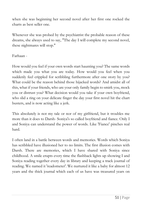when she was beginning her second novel after her first one rocked the charts as best seller one.

Whenever she was probed by the psychiatrist the probable reason of these dreams, she always used to say, "The day I will complete my second novel, these nightmares will stop."

Farhaan -

How would you feel if your own words start haunting you? The same words which made you what you are today. How would you feel when you suddenly feel crippled for scribbling furthermore after one story by you? What could be the reason behind those hijacked words? And amidst all of this, what if your friends, who are your only family begin to smirk you, mock you or distrust you? What decision would you take if your own boyfriend, who slid a ring on your delicate finger the day your first novel hit the chart busters, and is now acting like a jerk.

This absolutely is not my tale or nor of my girlfriend, but it troubles me more than it does to Darsh- Soniya's so called boyfriend and fiance. Only I and Soniya can understand the power of words. Like 'Fiance' pinches real hard.

I often land in a battle between words and memories. Words which Soniya has scribbled have illusioned her to no limits. The first illusion comes with Darsh. There are memories, which I have shared with Soniya since childhood. A smile erupts every time the flashback lights up showing I and Soniya reading together every day in library and keeping a track journal of reading. We named it 'readometer'. We nurtured it like a baby for almost 12 years and the thick journal which each of us have was treasured years on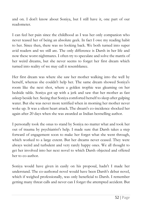and on. I don't know about Soniya, but I still have it, one part of our readometer.

I can feel her pain since the childhood as I was her only companion who never teased her of being an absolute geek. In fact I owe my reading habit to her. Since then, there was no looking back. We both turned into super avid readers and we still are. The only difference is Darsh in her life and now these worst nightmares. I often try to speculate and solve the matrix of her weird dreams, but she never seems to forget her first dream which turned into reality of we may call it resemblance.

Her first dream was where she saw her mother walking into the well by herself, whereas she couldn't help her. The same dream showed Soniya's room like the next shot, where a golden trophie was gleaming on her bedside table. Soniya got up with a jerk and saw that her mother as fast asleep beside her. Seeing that Soniya comforted herself to sleep after gulping water. But she was never more terrified when in morning her mother never woke up. It was a silent heart attack. The dream's co-incidence shocked her again after 20 days when she was awarded as Indian bestselling author.

I personally took the onus to stand by Soniya no matter what and took her out of trauma by psychiatrist's help. I made sure that Darsh takes a step forward of engagement soon to make her forget what she went through, which worked to a large extent. But her dreams never ceased. They were always weird and turbulent and very rarely happy ones. We all thought to get her involved into her next novel to which Darsh objected and offered her to co-author.

Soniya would have given in easily on his proposal, hadn't I made her understand. The co-authored novel would have been Darsh's debut novel, which if weighed professionally, was only beneficial to Darsh. I remember getting many threat calls and never can I forget the attempted accident. But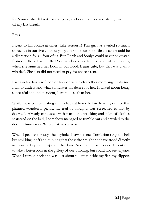for Soniya, she did not have anyone, so I decided to stand strong with her till my last breath.

Reva-

I want to kill Soniya at times. Like seriously! This girl has swirled so much of ruckus in our lives. I thought getting into our Book Beans cafe would be a distraction for all four of us. But Darsh and Soniya could never be ousted from our lives. I admit that Soniya's bestseller fetched a lot of pennies in, when she launched her book in our Book Beans cafe, but that was a winwin deal. She also did not need to pay for space's rent.

Farhaan too has a soft corner for Soniya which seethes more anger into me. I fail to understand what stimulates his desire for her. If talked about being successful and independent, I am no less than her.

While I was contemplating all this back at home before heading out for this planned wonderful picnic, my trail of thoughts was screeched to halt by doorbell. Already exhausted with packing, unpacking and piles of clothes scattered on the bed, I somehow managed to tumble out and crawled to the door in funny way. Whole flat was a mess.

When I peeped through the keyhole, I saw no one. Confusion rung the bell but smirking it off and thinking that the visitor might not have stood directly in front of keyhole, I opened the door. And there was no one. I went out to take a better look in the gallery of our building, but could not see anyone. When I turned back and was just about to enter inside my flat, my slippers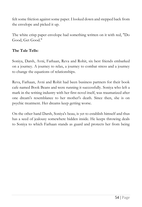felt some friction against some paper. I looked down and stepped back from the envelope and picked it up.

The white crisp paper envelope had something written on it with red, "Do Good, Get Good."

### **The Tale Tells:**

Soniya, Darsh, Avni, Farhaan, Reva and Rohit, six best friends embarked on a journey. A journey to relax, a journey to combat stress and a journey to change the equations of relationships.

Reva, Farhaan, Avni and Rohit had been business partners for their book cafe named Book Beans and were running it successfully. Soniya who left a mark in the writing industry with her first novel itself, was traumatized after one dream's resemblance to her mother's death. Since then, she is on psychic treatment. Her dreams keep getting worse.

On the other hand Darsh, Soniya's beau, is yet to establish himself and thus has a seed of jealousy somewhere hidden inside. He keeps throwing deals to Soniya to which Farhaan stands as guard and protects her from being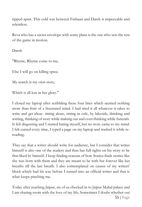ripped apart. This cold war between Farhaan and Darsh is impeccable and relentless.

Reva who has a secret envelope with some plans is the one who sets the rest of the game in motion.

Darsh-

"Rhyme, Rhyme come to me,

Else I will go on killing spree.

My search is my own story,

Which is all lost in her glory."

I closed my laptop after scribbling these four lines which seemed nothing more than fruit of a frustrated mind. I had tried it all whatever it takes to write and get ideas- sitting alone, sitting in cafe, by lakeside, drinking and writing, thinking of story while making out and even thinking while funerals. It felt disgusting and I started hating myself, but no story came to my mind. I felt cursed every time, I typed a page on my laptop and trashed it while rereading.

They say that a writer should write for audience, but I consider that writer himself is also one of the readers and thus has full rights on his story to be first liked by himself. I keep finding reasons of how Soniya finds stories like she was born with them and they are meant to be with her forever like her breaths till the last breath. I also contemplated on causes of my writers' block which had hit way before I turned into an official writer and that is what keeps pinching me.

Today after reaching Jaipur, six of us checked in to Jaipur Mahal palace and I am sharing room with the love of my life. Sometimes I doubt whether out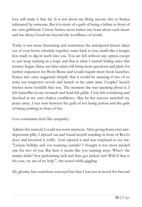love will make it that far. It is not about me liking anyone else or Soniya infatuated by someone. But it is more of a guilt of being a failure in front of my own girlfriend. I know Soniya never makes any bone about such issues and has always loved me beyond the wordliness of words.

Today it was more frustrating and sometimes the anticipated leisure taken out of your hectic schedule together, turns back to you, snarls like a hungry lion ready to dig its teeth into you. You are left without any option except to just keep running in a hope and that is what I started feeling since this journey began. Since our time taken will bring more questions and plans for further expansion for Book Beans and would require more book launches. Soniya also once suggested chirpily that it would be amazing if two of us write our respective novels and launch at the same time. Couples' launch fetches more footfalls that way. The moment she was speaking about it, I felt butterflies in my stomach and head felt giddy. I was left wondering and shocked at my own shaken confidence. May be her success snatched my peace away. I was torn between the guilt of not being jealous and the guilt of being nothing in front of her.

Love sometimes feels like sympathy.

Admist this turmoil, I could not resist anymore. After giving Soniya her antidepressant pills, I tiptoed out and found myself standing in front of Reva's door and knocked it softly. Avni opened it and was surprised to see me. "Leisure holiday and you roaming outside? I thought it was most needed one for two of you. But here it seems like you running away. What's the matter dude? Not performing well and thus got kicked out? Well if that is the case, we are of no help.", she teased while giggling.

My gloomy face somehow conveyed her that I was not in mood for fun and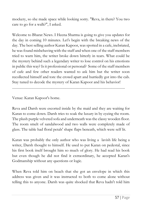mockery, so she made space while looking sorry. "Reva, in there? You two care to go for a walk?", I asked.

Welcome to Bharat News. I Heena Sharma is going to give you updates for the day in coming 10 minutes. Let's begin with the breaking news of the day. The best selling author Karan Kapoor, was spotted in a cafe, inebriated, he was found misbehaving with the staff and when one of the staff members tried to warn him, the writer broke down bitterly in tears. What could be the mystery behind such a legendary writer to lose control on his emotions in public this way? Is it professional or personal? Some of the staff members of cafe and few other readers wanted to ask him but the writer soon recollected himself and tore the crowd apart and hurriedly got into the cab. Stay tuned to decode the mystery of Karan Kapoor and his behavior!

...............................................................................................................................

Venue: Karan Kapoor's home.

Reva and Darsh were escorted inside by the maid and they are waiting for Karan to come down. Darsh tries to soak the luxury in by eyeing the room. The plush purple velveted sofa and underneath was the classy wooden floor. The room smelt of sandalwood and two walls were completely made of glass. The table had floral petals' shape flaps beneath, which were self lit.

Karan was probably the only author who was living a lavish life being a writer, Darsh thought to himself. He used to put Karan on pedestal, since his first book itself brought him so much of glory. He had read his book but even though he did not find it extraordinary, he accepted Karan's Godmanship without any questions or logic.

When Reva told him on beach that she got an envelope in which this address was given and it was instructed to both to come alone without telling this to anyone. Darsh was quite shocked that Reva hadn't told him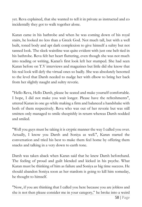yet. Reva explained, that she wanted to tell it in private as instructed and co incidentally they got to walk together alone.

Karan came in his bathrobe and when he was coming down of his royal stairs, he looked no less than a Greek God. Not much tall, but with a well built, toned body and apt dark complexion to give himself a sultry but not tanned look. The sleek waistline was quite evident with just one belt tied in his bathrobe. Reva felt her heart fluttering, even though she was not much into reading or writing, Karan's first look left her stumped. She had seen Karan before on T.V interviews and magazines but little did she know that his real look will defy the virtual ones so badly. She was absolutely besotted to the level that Darsh needed to nudge her with elbow to bring her back from her slightly naught and sultry reverie.

"Hello Reva, Hello Darsh, please be seated and make yourself comfortable. I hope, I did not make you wait longer. Please have the refreshments", uttered Karan in one go while making a firm and balanced a handshake with both of them respectively. Reva who was out of her reverie but was still smitten only managed to smile sheepishly in return whereas Darsh nodded and smiled.

"Well you guys must be taking it is cryptic manner the way I called you over. Actually, I know you Darsh and Soniya as well.", Karan started the conversation and tried his best to make them feel home by offering them snacks and talking in a very down to earth tone.

Darsh was taken aback when Karan said that he knew Darsh beforehand. The feeling of proud and guilt blended and kicked in his psyche. What Karan must be thinking of him as failure and Soniya as big time success. He should abandon Soniya soon as her stardom is going to kill him someday, he thought to himself.

"Now, if you are thinking that I called you here because you are jobless and she is not then please consider me in your category," he broke into a weird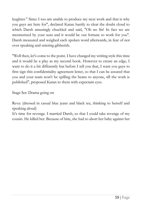laughter." Since I too am unable to produce my next work and that is why you guys are here for", declared Karan hastily to clear the doubt cloud to which Darsh amusingly chuckled and said, "Oh no Sir! In fact we are mesmerized by your aura and it would be our fortune to work for you". Darsh measured and weighed each spoken word afterwards, in fear of not over speaking and uttering gibberish.

"Well then, let's come to the point. I have changed my writing style this time and it would be a play as my second book. However to create an edge, I want to do it a bit differently but before I tell you that, I want you guys to first sign this confidentiality agreement letter, so that I can be assured that you and your team won't be spilling the beans to anyone, till the work is published", proposed Karan to them with expectant eyes.

Stage Set: Drama going on

Reva: (dressed in casual blue jeans and black tee, thinking to herself and speaking aloud)

It's time for revenge. I married Darsh, so that I could take revenge of my cousin. He killed her. Because of him, she had to abort her baby against her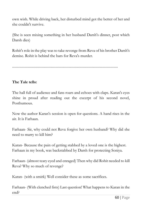own wish. While driving back, her disturbed mind got the better of her and she couldn't survive.

(She is seen mixing something in her husband Darsh's dinner, post which Darsh dies)

Rohit's role in the play was to take revenge from Reva of his brother Darsh's demise. Rohit is behind the bars for Reva's murder.

.......................................................................................................................

#### **The Tale tells:**

The hall full of audience and fans roars and echoes with claps. Karan's eyes shine in proud after reading out the excerpt of his second novel, Posthumous.

Now the author Karan's session is open for questions. A hand rises in the air. It is Farhaan.

Farhaan- Sir, why could not Reva forgive her own husband? Why did she need to marry to kill him?

Karan- Because the pain of getting stabbed by a loved one is the highest. Farhaan in my book, was backstabbed by Darsh for protecting Soniya.

Farhaan- (almost teary eyed and enraged) Then why did Rohit needed to kill Reva? Why so much of revenge?

Karan- (with a smirk) Well consider these as some sacrifices.

Farhaan- (With clenched fists) Last question! What happens to Karan in the end?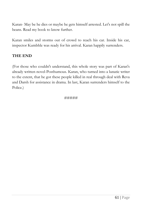Karan- May be he dies or maybe he gets himself arrested. Let's not spill the beans. Read my book to know further.

Karan smiles and storms out of crowd to reach his car. Inside his car, inspector Kumbhle was ready for his arrival. Karan happily surrenders.

### **THE END**

(For those who couldn't understand, this whole story was part of Karan's already written novel-Posthumous. Karan, who turned into a lunatic writer to the extent, that he got these people killed in real through deal with Reva and Darsh for assistance in drama. In last, Karan surrenders himself to the Police.)

#### #####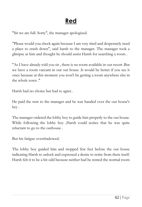# **Red**

"Sir we are full. Sorry", the manager apologized.

"Please would you check again because I am very tired and desperately need a place to crash down", said harsh to the manager. The manager took a glimpse at him and thought he should assist Harsh for searching a room .

"As I have already told you sir , there is no room available in our resort .But we have a room vaccant in our out house .It would be better if you see it once because at this moment you won't be getting a room anywhere else in the whole town ."

Harsh had no choice but had to agree .

He paid the rent to the manager and he was handed over the out house's key .

The manager ordered the lobby boy to guide him properly to the out house. While following the lobby boy ,Harsh could notice that he was quite reluctant to go to the outhouse .

But his fatigue overshadowed.

The lobby boy guided him and stopped few feet before the out house indicating Harsh to unlock and expressed a desire to retire from there itself. Harsh felt it to be a bit odd because neither had he rented the normal room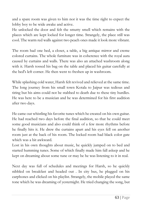and a spare room was given to him nor it was the time right to expect the lobby boy to be wide awake and active.

He unlocked the door and felt the smutty smell which remains with the places which are kept locked for longer time. Strangely, the place still was cool. The warm red walls against two peach ones made it look more vibrant.

The room had one bed, a closet, a table, a big antique mirror and creme colored curtains. The whole furniture was in coherence with the royal aura caused by curtains and walls. There was also an attached washroom along with it. Harsh tossed his bag on the table and placed his guitar carefully at the bed's left corner. He then went to freshen up in washroom.

While splashing cold water, Harsh felt revived and relieved at the same time. The long journey from his small town Kotala to Jaipur was tedious and tiring but his aims could not be stabbed to death due to these tiny hurdles. He was here to be a musician and he was determined for his first audition after two days.

He came out whistling his favorite tunes which he created on his own guitar. He had reached two days before the final audition, so that he could meet some good musicians and also could think of a few more rhythms before he finally hits it. He drew the curtains apart and his eyes fell on another room just at the back of his room. The locked room had black color gate which was a bit awkward.

Lost in his own thoughts about music, he quickly jumped on to bed and started humming tunes. Some of which finally made him fall asleep and he kept on dreaming about some tune or may be he was listening to it in real.

Next day was full of schedules and meetings for Harsh, so he quickly nibbled on breakfast and headed out . In city bus, he plugged on his earphones and clicked on his playlist. Strangely, the mobile played the same tone which he was dreaming of yesternight. He tried changing the song, but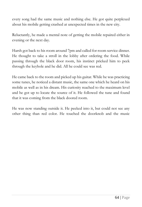every song had the same music and nothing else. He got quite perplexed about his mobile getting crashed at unexpected times in the new city.

Reluctantly, he made a mental note of getting the mobile repaired either in evening or the next day.

Harsh got back to his room around 7pm and called for room service dinner. He thought to take a stroll in the lobby after ordering the food. While passing through the black door room, his instinct pricked him to peek through the keyhole and he did. All he could see was red.

He came back to the room and picked up his guitar. While he was practicing some tunes, he noticed a distant music, the same one which he heard on his mobile as well as in his dream. His curiosity reached to the maximum level and he got up to locate the source of it. He followed the tune and found that it was coming from the black doored room.

He was now standing outside it. He peeked into it, but could not see any other thing than red color. He touched the doorknob and the music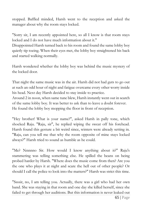stopped. Baffled minded, Harsh went to the reception and asked the manager about why the room stays locked.

"Sorry sir, I am recently appointed here, so all I know is that room stays locked and I do not have much information about it."

Disappointed Harsh turned back to his room and found the same lobby boy quietly tip toeing. When their eyes met, the lobby boy straightened his back and started walking normally.

Harsh wondered whether the lobby boy was behind the music mystery of the locked door.

That night the same music was in the air. Harsh did not had guts to go out at such an odd hour of night and fatigue overcame every other worry inside his head. Next day Harsh decided to stay inside to practice.

Around 2 in noon, when same tune blew, Harsh instantly went out in search of the same lobby boy. It was better to ask than to leave a doubt forever. He found the lobby boy mopping the floor in front of reception.

"Hey brother! What is your name?", asked Harsh in pally tone, which shocked Raju. "Raju, sir", he replied wiping the sweat off his forehead. Harsh found this gesture a bit weird since, winters were already setting in. "Raju, can you tell me that why the room opposite of mine stays locked always?" Harsh tried to sound as humble as he could.

"Me? Nnnnno Sir. How would I know anything about it?" Raju's stammering was telling something else. He spilled the beans on being probed harder by Harsh. "Where does the music come from then? Are you the one who plays it at night and scare the hell out of other people? Or should I call the police to look into the matters?" Harsh was strict this time.

"Ssssir, no, I am telling you. Actually, there was a girl who had her own band. She was staying in that room and one day she killed herself, since she failed to get through her auditions. But this information is never leaked out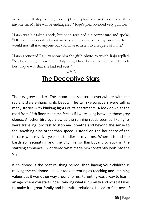as people will stop coming to our place. I plead you not to disclose it to anyone sir. My life will be endangered," Raju's plea sounded very gullible.

Harsh was bit taken aback, but soon regained his composure and spoke, "Ok Raju. I understand your anxiety and concerns. Its my promise that I would not tell it to anyone but you have to listen to a request of mine."

Harsh requested Raju to show him the girl's photo to which Raju replied, "Sir, I did not get to see her. Only thing I heard about her and which made her unique was that she had red eyes."

### #####

### **The Deceptive Stars**

The sky grew darker. The moon-dust scattered everywhere with the radiant stars enhancing its beauty. The tall sky-scrappers were telling many stories with blinking lights of its apartments. A look down at the road from 25th floor made me feel as if I were living between those grey clouds. Another bird eye view at the running roads seemed like lights were traveling; too fast to stop and breathe and beyond the sense to feel anything else other than speed. I stood on the boundary of the terrace with my five year old toddler in my arms. Where I found the Earth so fascinating and the city life so flamboyant to suck in the startling ambience, I wondered what made him constantly look into the sky.

If childhood is the best relishing period, then having your children is reliving the childhood. I never took parenting as teaching and imbibing values but it was other way around for us. Parenting was a way to learn; an age where you start understanding what is humility and what it takes to make it a great family and bountiful relations. I used to find myself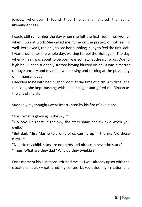joyous, whenever I found that I and she, shared the same likemindedness.

I could still remember the day when she felt the first kick in her womb, when I was at work. She called me home on the pretext of not feeling well. Perplexed I, ran only to see her bubbling in joy to feel the first kick. I was around her the whole day, waiting to feel the kick again. The day when Rihaan was about to be born was somewhat dreary for us. Due to high bp, Suhana suddenly started having blurred vision. It was a matter of huge anxiety and my mind was tossing and turning at the possibility of immense havoc.

I decided to be with her in labor room at the time of birth. Amidst all the tensions, she kept pushing with all her might and gifted me Rihaan as the gift of my life.

Suddenly my thoughts were interrupted by his fire of questions.

"Dad, what is glowing in the sky?"

"My boy, up there in the sky, the stars shine and twinkle when you smile."

"But dad, Miss Marrie told only birds can fly up in the sky.Are these birds ?"

"No ..No my child, stars are not birds and birds can never be stars." "Then! What are they dad? Why do they twinkle ?"

For a moment his questions irritated me, as I was already upset with the situations.I quickly gathered my senses, kicked aside my irritation and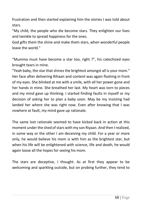frustration and then started explaining him the stories I was told about stars.

"My child, the people who die become stars. They enlighten our lives and twinkle to spread happiness for the ones.

God gifts them the shine and make them stars, when wonderful people leave the world."

"Mumma must have become a star too, right ?", his catechized eyes brought tears in mine.

"Yeah baby, the star that shines the brightest amongst all is your mom." Her face after delivering Rihaan and content was again flashing in front of my eyes. She blinked at me with a smile, with all her power gone and her hands in mine. She breathed her last. My heart was torn to pieces and my mind gave up thinking. I started finding faults in myself or my decision of asking her to plan a baby soon. May be my insisting had landed her where she was right now. Even after knowing that I was nowhere at fault, my mind gave up rationale.

The same lost rationale seemed to have kicked back in action at this moment under the shed of stars with my son Riyaan. And then I realized, in some way or the other I am deceiving my child. For a year or more only, he would believe his mom is with him as the brightest star, but when his life will be enlightened with science, life and death, he would again loose all the hopes for seeing his mom.

The stars are deceptive, I thought. As at first they appear to be welcoming and sparkling outside, but on probing further, they tend to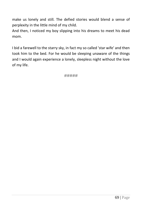make us lonely and still. The defied stories would blend a sense of perplexity in the little mind of my child.

And then, I noticed my boy slipping into his dreams to meet his dead mom.

I bid a farewell to the starry sky, in fact my so called 'star wife' and then took him to the bed. For he would be sleeping unaware of the things and I would again experience a lonely, sleepless night without the love of my life.

#####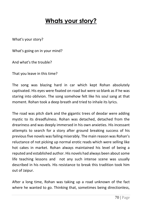## **Whats your story?**

What's your story?

What's going on in your mind?

And what's the trouble?

That you leave in this time?

The song was blazing hard in car which kept Rohan absolutely captivated. His eyes were fixated on road but were so blank as if he was staring into oblivion. The song somehow felt like his soul sang at that moment. Rohan took a deep breath and tried to inhale its lyrics.

The road was pitch dark and the gigantic trees of deodar were adding mystic to its dreadfulness. Rohan was detached, detached from the dreariness and was deeply immersed in his own anxieties. His incessant attempts to search for a story after ground breaking success of his previous five novels was failing miserably. The main reason was Rohan's reluctance of not picking up normal erotic reads which were selling like hot cakes in market. Rohan always maintained his level of being a reputed and established author. His novels had always been about some life teaching lessons and not any such intense scene was usually described in his novels. His resistance to break this tradition took him out of Jaipur.

After a long time, Rohan was taking up a road unknown of the fact where he wanted to go. Thinking that, sometimes being directionless,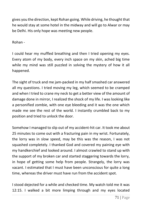gives you the direction, kept Rohan going. While driving, he thought that he would stay at some hotel in the midway and will go to Alwar or may be Delhi. His only hope was meeting new people.

Rohan -

I could hear my muffled breathing and then I tried opening my eyes. Every atom of my body, every inch space on my skin, ached big time while my mind was still puzzled in solving the mystery of how it all happened.

The sight of truck and me jam-packed in my half smashed car answered all my questions. I tried moving my leg, which seemed to be cramped and when I tried to crane my neck to get a better view of the amount of damage done in mirror, I realized the shock of my life. I was looking like a personified zombie, with one eye bleeding and it was the one which made me see the rest of the world. I instantly crumbled back to my position and tried to unlock the door.

Somehow I managed to slip out of my accident-hit car. It took me about 25 minutes to come out with a fracturing pain in my wrist. Fortunately, the lorry was in slow speed, may be this was the reason, I was not squashed completely. I thanked God and covered my paining eye with my handkerchief and looked around. I almost crawled to stand up with the support of my broken car and started staggering towards the lorry, in hope of getting some help from people. Strangely, the lorry was vacant. I estimated that I must have been unconscious for quite a long time, whereas the driver must have run from the accident spot.

I stood dejected for a while and checked time. My watch told me it was 12:15. I walked a bit more limping through and my eyes located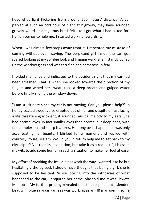headlight's light flickering from around 500 meters' distance. A car parked at such an odd hour of night at highway, may have sounded gravely weird or dangerous but I felt like I got what I had asked for; human beings to help me. I started walking towards it.

When I was almost few steps away from it, I repented my mistake of coming without even waving. The perplexed girl inside the car, got scared looking at my zombie look and limping walk. She instantly pulled up the window glass and was terrified and comatose in fear.

I folded my hands and indicated to the accident sight that my car had been smashed. That is when she looked towards the direction of my fingers and wiped her sweat, took a deep breath and gulped water before finally sliding the window down.

"I am stuck here since my car is not moving. Can you please help?", a honey coated sweet voice erupted out of her and despite of just facing a life threatening accident, it sounded musical melody to my ears. She had normal eyes, in fact smaller eyes than normal but deep ones, with fair complexion and sharp features. Her long oval shaped face was only accentuating her beauty. I blinked for a moment and replied with courtesy, "Sure, Ma'am. Would you in return help me to get back to my city Jaipur? Not that its a condition, but take it as a request.", I blessed my wits to add some humor in such a situation to make her feel at ease.

My effort of breaking the ice , did not work the way I wanted it to be but hesitatingly she agreed. I should have thought that being a girl, she is supposed to be hesitant. While looking into the intricacies of what happened to the car, I enquired her name. She told me it was Shweta Malhotra. My further probing revealed that this resplendent , slender, beauty in blue salwaar kameez was working as an HR manager in some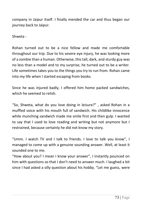company in Jaipur itself. I finally mended the car and thus began our journey back to Jaipur.

Shweta -

Rohan turned out to be a nice fellow and made me comfortable throughout our trip. Due to his severe eye injury, he was looking more of a zombie than a human. Otherwise, this tall, dark, and sturdy guy was no less than a model and to my surprise, he turned out to be a writer. Life sometimes takes you to the things you try to run from. Rohan came into my life when I started escaping from books.

Since he was injured badly, I offered him home packed sandwiches, which he seemed to relish.

"So, Shweta, what do you love doing in leisure?" , asked Rohan in a muffled voice with his mouth full of sandwich. His childlike innocence while munching sandwich made me smile first and then gulp. I wanted to say that I used to love reading and writing but not anymore but I restrained, because certainly he did not know my story.

"Umm. I watch TV and I talk to friends. I love to talk you know", I managed to come up with a genuine sounding answer. Well, at least it sounded one to me.

"How about you? I mean I know your answer", I instantly pounced on him with questions so that I don't need to answer much. I laughed a bit since I had asked a silly question about his hobby. "Let me guess, were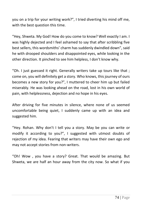you on a trip for your writing work?", I tried diverting his mind off me, with the best question this time.

"Hey, Shweta. My God! How do you come to know? Well exactly I am. I was highly dejected and I feel ashamed to say that after scribbling five best sellers, this wordsmiths' charm has suddenly dwindled down", said he with drooped shoulders and disappointed eyes, while looking in the other direction. It pinched to see him helpless, I don't know why.

"Oh. I just guessed it right. Generally writers take up tours like that ; come on, you will definitely get a story. Who knows, this journey of ours becomes a new story for you?", I muttered to cheer him up but failed miserably. He was looking ahead on the road, lost in his own world of pain, with helplessness, dejection and no hope in his eyes.

After driving for five minutes in silence, where none of us seemed uncomfortable being quiet, I suddenly came up with an idea and suggested him.

"Hey. Rohan. Why don't I tell you a story. May be you can write or modify it according to you?", I suggested with utmost doubts of rejection of my idea. Fearing that writers may have their own ego and may not accept stories from non-writers.

"Oh! Wow , you have a story? Great. That would be amazing. But Shweta, we are half an hour away from the city now. So what if you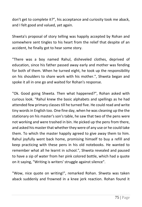don't get to complete it?", his acceptance and curiosity took me aback, and I felt good and valued, yet again.

Shweta's proposal of story telling was happily accepted by Rohan and somewhere sent tingles to his heart from the relief that despite of an accident, he finally got to hear some story.

"There was a boy named Rahul, disheveled clothes, deprived of education, since his father passed away early and mother was fending for both of them. When he turned eight, he took up the responsibility on his shoulders to share work with his mother.", Shweta began and spoke it all in one go and waited for Rohan's response.

"Ok. Good going Shweta. Then what happened?", Rohan asked with curious look. "Rahul knew the basic alphabets and spellings as he had attended few primary classes till he turned five. He could read and write tiny words in English too. One fine day, when he was cleaning up the the stationary on his master's son's table, he saw that two of the pens were not working and were trashed in bin. He picked up the pens from there, and asked his master that whether they were of any use or he could take them. To which the master happily agreed to give away them to him. Rahul joyfully went back home, promising himself to buy a refill and keep practicing with these pens in his old notebooks. He wanted to remember what all he learnt in school.", Shweta revealed and paused to have a sip of water from her pink colored bottle, which had a quote on it saying, "Writing is writers' struggle against silence".

"Wow, nice quote on writing!", remarked Rohan. Shweta was taken aback suddenly and frowned in a knee jerk reaction. Rohan found it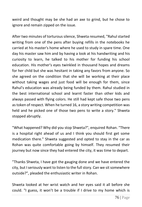weird and thought may be she had an axe to grind, but he chose to ignore and remain zipped on the issue.

After two minutes of torturous silence, Shweta resumed, "Rahul started writing from one of the pens after buying refills in the notebooks he carried at his master's home where he used to study in spare time. One day his master saw him and by having a look at his handwriting and his curiosity to learn, he talked to his mother for funding his school education. His mother's eyes twinkled in thousand hopes and dreams for her child but she was hesitant in taking any favors from anyone. So she agreed on the condition that she will be working at their place without taking wages and just food will be enough for them, since Rahul's education was already being funded by them. Rahul studied in the best international school and learnt faster than other kids and always passed with flying colors. He still had kept safe those two pens as token of respect. When he turned 16, a story writing competition was held and he picked one of those two pens to write a story." Shweta stopped abruptly.

"What happened? Why did you stop Shweta?", enquired Rohan. "There is a hospital right ahead of us and I think you should first get some medication there." Shweta suggested and opted to stay in the car as Rohan was quite comfortable going by himself. They resumed their journey but now since they had entered the city, it was time to depart.

"Thanks Shweta, I have got the gauging done and we have entered the city, but I seriously want to listen to the full story. Can we sit somewhere outside?", pleaded the enthusiastic writer in Rohan.

Shweta looked at her wrist watch and her eyes said it all before she could. "I guess, it won't be a trouble if I drive to my home which is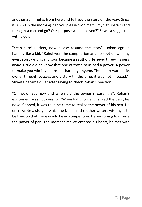another 30 minutes from here and tell you the story on the way. Since it is 3:30 in the morning, can you please drop me till my flat upstairs and then get a cab and go? Our purpose will be solved?" Shweta suggested with a gulp.

"Yeah sure! Perfect, now please resume the story", Rohan agreed happily like a kid. "Rahul won the competition and he kept on winning every story writing and soon became an author. He never threw his pens away. Little did he know that one of those pens had a power. A power to make you win if you are not harming anyone. The pen rewarded its owner through success and victory till the time, it was not misused.", Shweta became quiet after saying to check Rohan's reaction.

"Oh wow! But how and when did the owner misuse it ?", Rohan's excitement was not ceasing. "When Rahul once changed the pen , his novel flopped, it was then he came to realize the power of his pen. He once wrote a story in which he killed all the other writers wishing it to be true. So that there would be no competition. He was trying to misuse the power of pen. The moment malice entered his heart, he met with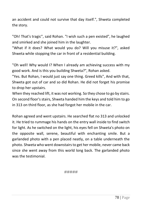an accident and could not survive that day itself.", Shweta completed the story.

"Oh! That's tragic", said Rohan. "I wish such a pen existed", he laughed and smirked and she joined him in the laughter.

"What if it does? What would you do? Will you misuse it?", asked Shweta while stopping the car in front of a residential building.

"Oh well! Why would I? When I already am achieving success with my good work. And is this you building Shweta?", Rohan asked.

"Yes. But Rohan, I would just say one thing. Greed kills", And with that, Shweta got out of car and so did Rohan. He did not forget his promise to drop her upstairs.

When they reached lift, it was not working. So they chose to go by stairs. On second floor's stairs, Shweta handed him the keys and told him to go in 313 on third floor, as she had forgot her mobile in the car.

Rohan agreed and went upstairs. He searched flat no 313 and unlocked it. He tried to rummage his hands on the entry wall inside to find switch for light. As he switched on the light, his eyes fell on Shweta's photo on the opposite wall, serene, beautiful with enchanting smile. But a garlanded photo with a pen placed neatly, on a table underneath the photo. Shweta who went downstairs to get her mobile, never came back since she went away from this world long back. The garlanded photo was the testimonial.

#####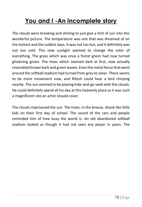## **You and I -An incomplete story**

The clouds were breaking and shining to just give a hint of sun into this wonderful picture. The temperature was one that was dreamed of on the hottest and the coldest days. It was not too hot, and it definitely was not too cold. This new sunlight seemed to change the color of everything. The grass which was once a forest green had now turned glistening green. The trees which seemed dark at first, now actually resembled brown bark and green leaves. Even the metal fence that went around the softball stadium had turned from grey to silver. There seems to be more movement now, and Ritesh could hear a bird chirping nearby .The sun seemed to be playing hide-and-go-seek with the clouds. He could definitely spend all his day at this heavenly place as it was such a magnificent site an artist should cover.

The clouds imprisoned the sun. The trees, in the breeze, shook like little kids on their first day of school. The sound of the cars and people reminded him of how busy the world is. An old abandoned softball stadium looked as though it had not seen any player in years. The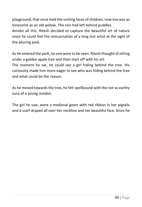playground, that once held the smiling faces of children, now too was as lonesome as an old widow. The rain had left behind puddles. Amidst all this, Ritesh decided to capture the beautiful art of nature since he could feel the reincarnation of a long lost artist at the sight of the alluring park.

As he entered the park, no one were to be seen. Ritesh thought of sitting under a golden apple tree and then start off with his art.

The moment he sat, he could see a girl hiding behind the tree. His curiousity made him more eager to see who was hiding behind the tree and what could be the reason.

As he moved towards the tree, he felt spellbound with the not so earthy aura of a young maiden.

The girl he saw, wore a medieval gown with red ribbon in her pigtails and a scarf draped all over her neckline and her beautiful face. Since he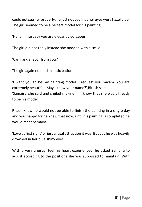could not see her properly, he just noticed that her eyes were hazel blue. The girl seemed to be a perfect model for his painting.

'Hello. I must say you are elegantly gorgeous.'

The girl did not reply instead she nodded with a smile.

'Can I ask a favor from you?'

The girl again nodded in anticipation.

'I want you to be my painting model. I request you ma'am. You are extremely beautiful. May I know your name?',Ritesh said. 'Samaira',she said and smiled making him know that she was all ready to be his model.

Ritesh knew he would not be able to finish the painting in a single day and was happy for he knew that now, until his painting is completed he would meet Samaira.

'Love at first sight' or just a fatal attraction it was. But yes he was heavily drowned in her blue shiny eyes.

With a very unusual feel his heart experienced, he asked Samaira to adjust according to the positions she was supposed to maintain. With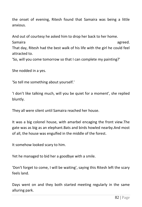the onset of evening, Ritesh found that Samaira was being a little anxious.

And out of courtesy he asked him to drop her back to her home.

Samaira agreed. That day, Ritesh had the best walk of his life with the girl he could feel attracted to.

'So, will you come tomorrow so that I can complete my painting?'

She nodded in a yes.

'So tell me something about yourself.'

'I don't like talking much, will you be quiet for a moment', she replied bluntly.

They all were silent until Samaira reached her house.

It was a big colonel house, with amarbel encaging the front view.The gate was as big as an elephant.Bats and birds howled nearby.And most of all, the house was engulfed in the middle of the forest.

It somehow looked scary to him.

Yet he managed to bid her a goodbye with a smile.

'Don't forget to come, I will be waiting', saying this Ritesh left the scary feels land.

Days went on and they both started meeting regularly in the same alluring park.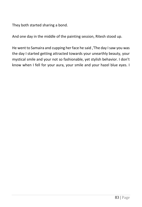They both started sharing a bond.

And one day in the middle of the painting session, Ritesh stood up.

He went to Samaira and cupping her face he said ,'The day I saw you was the day I started getting attracted towards your unearthly beauty, your mystical smile and your not so fashionable, yet stylish behavior. I don't know when I fell for your aura, your smile and your hazel blue eyes. I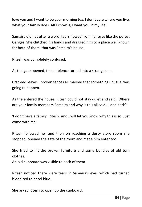love you and I want to be your morning tea. I don't care where you live, what your family does. All I know is, I want you in my life.'

Samaira did not utter a word, tears flowed from her eyes like the purest Ganges. She clutched his hands and dragged him to a place well known for both of them, that was Samaira's house.

Ritesh was completely confused.

As the gate opened, the ambience turned into a strange one.

Crackled leaves , broken fences all marked that something unusual was going to happen.

As the entered the house, Ritesh could not stay quiet and said, 'Where are your family members Samaira and why is this all so dull and dark?'

'I don't have a family, Ritesh. And I will let you know why this is so. Just come with me.'

Ritesh followed her and then on reaching a dusty store room she stopped, opened the gate of the room and made him enter too.

She tried to lift the broken furniture and some bundles of old torn clothes.

An old cupboard was visible to both of them.

Ritesh noticed there were tears in Samaira's eyes which had turned blood red to hazel blue.

She asked Ritesh to open up the cupboard.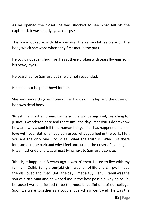As he opened the closet, he was shocked to see what fell off the cupboard. It was a body, yes, a corpse.

The body looked exactly like Samaira, the same clothes were on the body which she wore when they first met in the park.

He could not even shout, yet he sat there broken with tears flowing from his heavy eyes.

He searched for Samaira but she did not responded.

He could not help but howl for her.

She was now sitting with one of her hands on his lap and the other on her own dead body.

'Ritesh, I am not a human. I am a soul, a wandering soul, searching for justice. I wandered here and there until the day I met you. I don't know how and why a soul fell for a human but yes this has happened. I am in love with you. But when you confessed what you feel in the park, I felt you are the only one I could tell what the truth is. Why I sit there lonesome in the park and why I feel anxious on the onset of evening.' Ritesh just cried and was almost lying next to Samaira's corpse.

'Ritesh, it happened 5 years ago. I was 20 then. I used to live with my family in Delhi. Being a punjabi girl I was full of life and chirpy. I made friends, loved and lived. Until the day, I met a guy, Rahul. Rahul was the son of a rich man and he wooed me in the best possible way he could, because I was considered to be the most beautiful one of our college. Soon we were together as a couple. Everything went well. He was the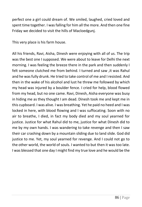perfect one a girl could dream of. We smiled, laughed, cried loved and spent time together. I was falling for him all the more. And then one fine Friday we decided to visit the hills of Macloedgunj.

This very place is his farm house.

All his friends, Ravi, Aisha, Dinesh were enjoying with all of us. The trip was the best one I supposed. We were about to leave for Delhi the next morning. I was feeling the breeze there in the park and then suddenly I felt someone clutched me from behind. I turned and saw ,it was Rahul and he was fully drunk. He tried to take control of me and I resisted. And then in the wake of his alcohol and lust he threw me followed by which my head was injured by a boulder fence. I cried for help, blood flowed from my head, but no one came. Ravi, Dinesh, Aisha everyone was busy in hiding me as they thought I am dead. Dinesh took me and kept me in this cupboard. I was alive. I was breathing. Yet he paid no heed and I was locked in here, with blood flowing and I was suffocating. Soon with no air to breathe, I died, in fact my body died and my soul yearned for justice. Justice for what Rahul did to me, justice for what Dinesh did to me by my own hands. I was wandering to take revenge and then I saw their car crashing down by a mountain sliding due to land slide. God did justice to me. Yet, my soul yearned for revenge. And I could not go to the other world, the world of souls. I wanted to but then it was too late. I was blessed that one day I might find my true love and he would be the